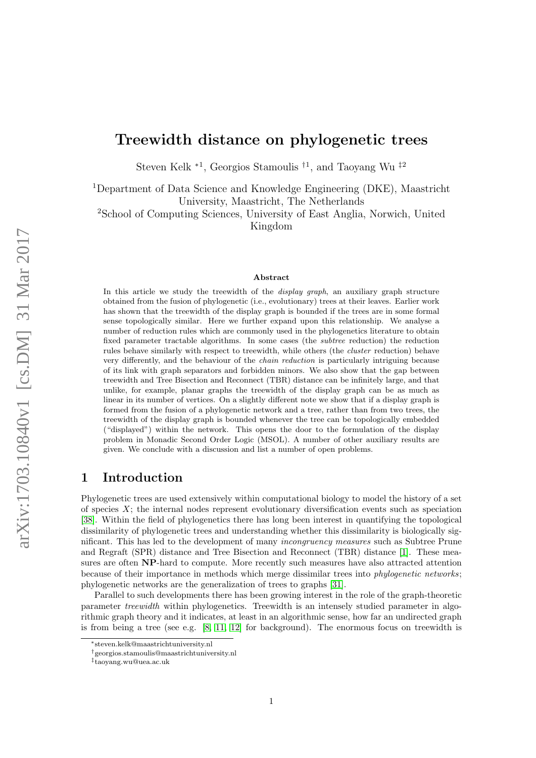# Treewidth distance on phylogenetic trees

Steven Kelk <sup>∗1</sup>, Georgios Stamoulis<sup>†1</sup>, and Taoyang Wu<sup>‡2</sup>

<sup>1</sup>Department of Data Science and Knowledge Engineering (DKE), Maastricht University, Maastricht, The Netherlands

<sup>2</sup>School of Computing Sciences, University of East Anglia, Norwich, United Kingdom

#### Abstract

In this article we study the treewidth of the *display graph*, an auxiliary graph structure obtained from the fusion of phylogenetic (i.e., evolutionary) trees at their leaves. Earlier work has shown that the treewidth of the display graph is bounded if the trees are in some formal sense topologically similar. Here we further expand upon this relationship. We analyse a number of reduction rules which are commonly used in the phylogenetics literature to obtain fixed parameter tractable algorithms. In some cases (the subtree reduction) the reduction rules behave similarly with respect to treewidth, while others (the cluster reduction) behave very differently, and the behaviour of the chain reduction is particularly intriguing because of its link with graph separators and forbidden minors. We also show that the gap between treewidth and Tree Bisection and Reconnect (TBR) distance can be infinitely large, and that unlike, for example, planar graphs the treewidth of the display graph can be as much as linear in its number of vertices. On a slightly different note we show that if a display graph is formed from the fusion of a phylogenetic network and a tree, rather than from two trees, the treewidth of the display graph is bounded whenever the tree can be topologically embedded ("displayed") within the network. This opens the door to the formulation of the display problem in Monadic Second Order Logic (MSOL). A number of other auxiliary results are given. We conclude with a discussion and list a number of open problems.

## 1 Introduction

Phylogenetic trees are used extensively within computational biology to model the history of a set of species  $X$ ; the internal nodes represent evolutionary diversification events such as speciation [\[38\]](#page-25-0). Within the field of phylogenetics there has long been interest in quantifying the topological dissimilarity of phylogenetic trees and understanding whether this dissimilarity is biologically significant. This has led to the development of many incongruency measures such as Subtree Prune and Regraft (SPR) distance and Tree Bisection and Reconnect (TBR) distance [\[1\]](#page-23-0). These measures are often NP-hard to compute. More recently such measures have also attracted attention because of their importance in methods which merge dissimilar trees into phylogenetic networks; phylogenetic networks are the generalization of trees to graphs [\[31\]](#page-25-1).

Parallel to such developments there has been growing interest in the role of the graph-theoretic parameter treewidth within phylogenetics. Treewidth is an intensely studied parameter in algorithmic graph theory and it indicates, at least in an algorithmic sense, how far an undirected graph is from being a tree (see e.g.  $[8, 11, 12]$  $[8, 11, 12]$  $[8, 11, 12]$  for background). The enormous focus on treewidth is

<sup>∗</sup>steven.kelk@maastrichtuniversity.nl

<sup>†</sup>georgios.stamoulis@maastrichtuniversity.nl

<sup>‡</sup> taoyang.wu@uea.ac.uk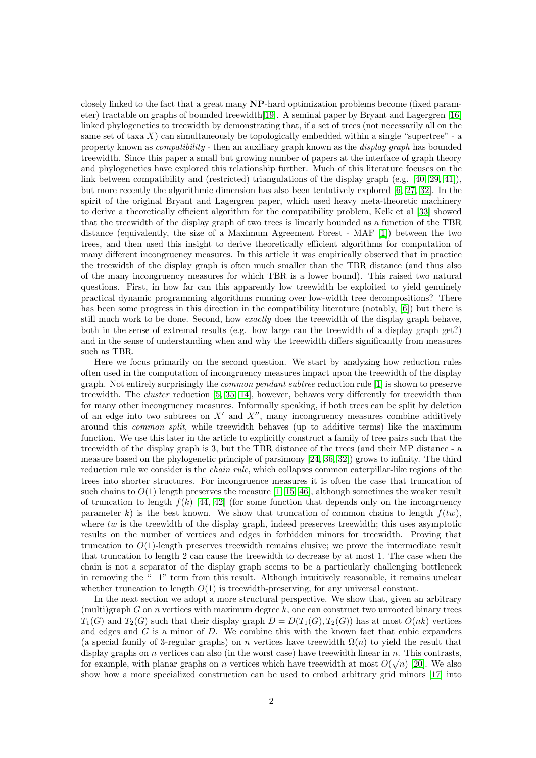closely linked to the fact that a great many NP-hard optimization problems become (fixed parameter) tractable on graphs of bounded treewidth[\[19\]](#page-24-2). A seminal paper by Bryant and Lagergren [\[16\]](#page-24-3) linked phylogenetics to treewidth by demonstrating that, if a set of trees (not necessarily all on the same set of taxa  $X$ ) can simultaneously be topologically embedded within a single "supertree" - a property known as compatibility - then an auxiliary graph known as the display graph has bounded treewidth. Since this paper a small but growing number of papers at the interface of graph theory and phylogenetics have explored this relationship further. Much of this literature focuses on the link between compatibility and (restricted) triangulations of the display graph (e.g. [\[40,](#page-25-2) [29,](#page-25-3) [41\]](#page-25-4)), but more recently the algorithmic dimension has also been tentatively explored [\[6,](#page-23-2) [27,](#page-25-5) [32\]](#page-25-6). In the spirit of the original Bryant and Lagergren paper, which used heavy meta-theoretic machinery to derive a theoretically efficient algorithm for the compatibility problem, Kelk et al [\[33\]](#page-25-7) showed that the treewidth of the display graph of two trees is linearly bounded as a function of the TBR distance (equivalently, the size of a Maximum Agreement Forest - MAF [\[1\]](#page-23-0)) between the two trees, and then used this insight to derive theoretically efficient algorithms for computation of many different incongruency measures. In this article it was empirically observed that in practice the treewidth of the display graph is often much smaller than the TBR distance (and thus also of the many incongruency measures for which TBR is a lower bound). This raised two natural questions. First, in how far can this apparently low treewidth be exploited to yield genuinely practical dynamic programming algorithms running over low-width tree decompositions? There has been some progress in this direction in the compatibility literature (notably, [\[6\]](#page-23-2)) but there is still much work to be done. Second, how exactly does the treewidth of the display graph behave, both in the sense of extremal results (e.g. how large can the treewidth of a display graph get?) and in the sense of understanding when and why the treewidth differs significantly from measures such as TBR.

Here we focus primarily on the second question. We start by analyzing how reduction rules often used in the computation of incongruency measures impact upon the treewidth of the display graph. Not entirely surprisingly the common pendant subtree reduction rule [\[1\]](#page-23-0) is shown to preserve treewidth. The cluster reduction [\[5,](#page-23-3) [35,](#page-25-8) [14\]](#page-24-4), however, behaves very differently for treewidth than for many other incongruency measures. Informally speaking, if both trees can be split by deletion of an edge into two subtrees on  $X'$  and  $X''$ , many incongruency measures combine additively around this common split, while treewidth behaves (up to additive terms) like the maximum function. We use this later in the article to explicitly construct a family of tree pairs such that the treewidth of the display graph is 3, but the TBR distance of the trees (and their MP distance - a measure based on the phylogenetic principle of parsimony [\[24,](#page-24-5) [36,](#page-25-9) [32\]](#page-25-6)) grows to infinity. The third reduction rule we consider is the chain rule, which collapses common caterpillar-like regions of the trees into shorter structures. For incongruence measures it is often the case that truncation of such chains to  $O(1)$  length preserves the measure [\[1,](#page-23-0) [15,](#page-24-6) [46\]](#page-25-10), although sometimes the weaker result of truncation to length  $f(k)$  [\[44,](#page-25-11) [42\]](#page-25-12) (for some function that depends only on the incongruency parameter k) is the best known. We show that truncation of common chains to length  $f(tw)$ , where  $tw$  is the treewidth of the display graph, indeed preserves treewidth; this uses asymptotic results on the number of vertices and edges in forbidden minors for treewidth. Proving that truncation to  $O(1)$ -length preserves treewidth remains elusive; we prove the intermediate result that truncation to length 2 can cause the treewidth to decrease by at most 1. The case when the chain is not a separator of the display graph seems to be a particularly challenging bottleneck in removing the "−1" term from this result. Although intuitively reasonable, it remains unclear whether truncation to length  $O(1)$  is treewidth-preserving, for any universal constant.

In the next section we adopt a more structural perspective. We show that, given an arbitrary  $(\text{multi})\text{graph } G$  on n vertices with maximum degree k, one can construct two unrooted binary trees  $T_1(G)$  and  $T_2(G)$  such that their display graph  $D = D(T_1(G), T_2(G))$  has at most  $O(nk)$  vertices and edges and  $G$  is a minor of  $D$ . We combine this with the known fact that cubic expanders (a special family of 3-regular graphs) on n vertices have treewidth  $\Omega(n)$  to yield the result that display graphs on n vertices can also (in the worst case) have treewidth linear in  $n$ . This contrasts, for example, with planar graphs on *n* vertices which have treewidth at most  $O(\sqrt{n})$  [\[20\]](#page-24-7). We also show how a more specialized construction can be used to embed arbitrary grid minors [\[17\]](#page-24-8) into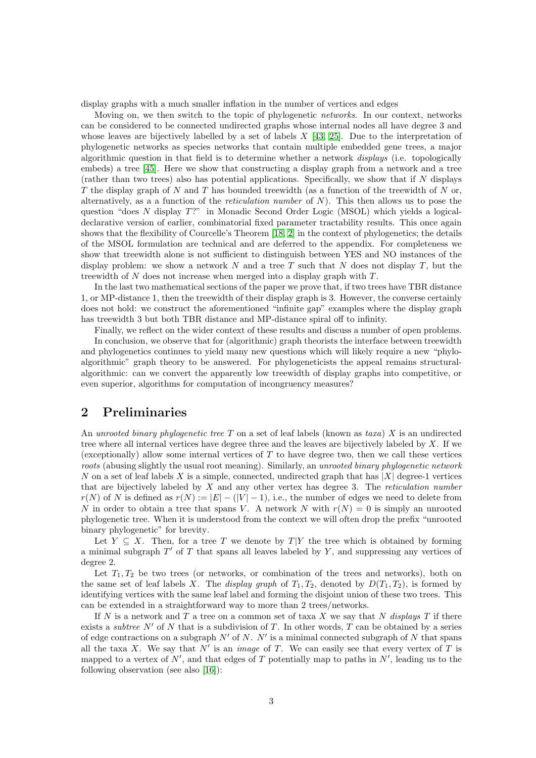display graphs with a much smaller inflation in the number of vertices and edges

Moving on, we then switch to the topic of phylogenetic networks. In our context, networks can be considered to be connected undirected graphs whose internal nodes all have degree 3 and whose leaves are bijectively labelled by a set of labels  $X$  [\[43,](#page-25-13) [25\]](#page-24-9). Due to the interpretation of phylogenetic networks as species networks that contain multiple embedded gene trees, a major algorithmic question in that field is to determine whether a network displays (i.e. topologically embeds) a tree [\[45\]](#page-25-14). Here we show that constructing a display graph from a network and a tree (rather than two trees) also has potential applications. Specifically, we show that if  $N$  displays T the display graph of  $N$  and  $T$  has bounded treewidth (as a function of the treewidth of  $N$  or, alternatively, as a a function of the *reticulation number* of  $N$ ). This then allows us to pose the question "does N display T?" in Monadic Second Order Logic (MSOL) which yields a logicaldeclarative version of earlier, combinatorial fixed parameter tractability results. This once again shows that the flexibility of Courcelle's Theorem [\[18,](#page-24-10) [2\]](#page-23-4) in the context of phylogenetics; the details of the MSOL formulation are technical and are deferred to the appendix. For completeness we show that treewidth alone is not sufficient to distinguish between YES and NO instances of the display problem: we show a network N and a tree T such that N does not display T, but the treewidth of N does not increase when merged into a display graph with T.

In the last two mathematical sections of the paper we prove that, if two trees have TBR distance 1, or MP-distance 1, then the treewidth of their display graph is 3. However, the converse certainly does not hold: we construct the aforementioned "infinite gap" examples where the display graph has treewidth 3 but both TBR distance and MP-distance spiral off to infinity.

Finally, we reflect on the wider context of these results and discuss a number of open problems.

In conclusion, we observe that for (algorithmic) graph theorists the interface between treewidth and phylogenetics continues to yield many new questions which will likely require a new "phyloalgorithmic" graph theory to be answered. For phylogeneticists the appeal remains structuralalgorithmic: can we convert the apparently low treewidth of display graphs into competitive, or even superior, algorithms for computation of incongruency measures?

## 2 Preliminaries

An unrooted binary phylogenetic tree T on a set of leaf labels (known as taxa) X is an undirected tree where all internal vertices have degree three and the leaves are bijectively labeled by X. If we (exceptionally) allow some internal vertices of  $T$  to have degree two, then we call these vertices roots (abusing slightly the usual root meaning). Similarly, an unrooted binary phylogenetic network N on a set of leaf labels X is a simple, connected, undirected graph that has  $|X|$  degree-1 vertices that are bijectively labeled by  $X$  and any other vertex has degree 3. The *reticulation number*  $r(N)$  of N is defined as  $r(N) := |E| - (|V| - 1)$ , i.e., the number of edges we need to delete from N in order to obtain a tree that spans V. A network N with  $r(N) = 0$  is simply an unrooted phylogenetic tree. When it is understood from the context we will often drop the prefix "unrooted binary phylogenetic" for brevity.

Let  $Y \subseteq X$ . Then, for a tree T we denote by  $T|Y$  the tree which is obtained by forming a minimal subgraph  $T'$  of  $T$  that spans all leaves labeled by  $Y$ , and suppressing any vertices of degree 2.

Let  $T_1, T_2$  be two trees (or networks, or combination of the trees and networks), both on the same set of leaf labels X. The display graph of  $T_1, T_2$ , denoted by  $D(T_1, T_2)$ , is formed by identifying vertices with the same leaf label and forming the disjoint union of these two trees. This can be extended in a straightforward way to more than 2 trees/networks.

If N is a network and T a tree on a common set of taxa X we say that N displays T if there exists a *subtree*  $N'$  of N that is a subdivision of T. In other words, T can be obtained by a series of edge contractions on a subgraph  $N'$  of N. N' is a minimal connected subgraph of N that spans all the taxa X. We say that  $N'$  is an *image* of T. We can easily see that every vertex of T is mapped to a vertex of  $N'$ , and that edges of T potentially map to paths in  $N'$ , leading us to the following observation (see also [\[16\]](#page-24-3)):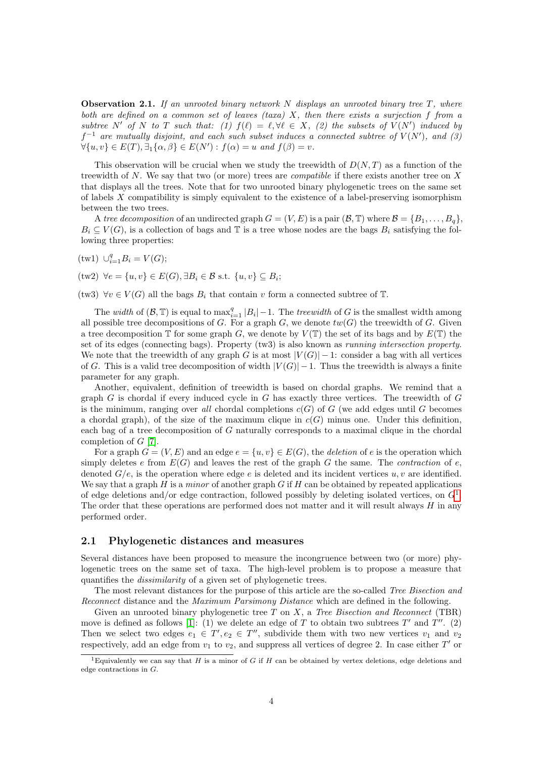**Observation 2.1.** If an unrooted binary network N displays an unrooted binary tree  $T$ , where both are defined on a common set of leaves  $(taxa)$  X, then there exists a surjection f from a subtree N' of N to T such that: (1)  $f(\ell) = \ell, \forall \ell \in X$ , (2) the subsets of  $V(N')$  induced by  $f^{-1}$  are mutually disjoint, and each such subset induces a connected subtree of  $V(N')$ , and  $(3)$  $\forall \{u, v\} \in E(T), \exists_1 \{\alpha, \beta\} \in E(N') : f(\alpha) = u \text{ and } f(\beta) = v.$ 

This observation will be crucial when we study the treewidth of  $D(N,T)$  as a function of the treewidth of N. We say that two (or more) trees are *compatible* if there exists another tree on X that displays all the trees. Note that for two unrooted binary phylogenetic trees on the same set of labels  $X$  compatibility is simply equivalent to the existence of a label-preserving isomorphism between the two trees.

A tree decomposition of an undirected graph  $G = (V, E)$  is a pair  $(\mathcal{B}, \mathbb{T})$  where  $\mathcal{B} = \{B_1, \ldots, B_q\}$ ,  $B_i \subseteq V(G)$ , is a collection of bags and T is a tree whose nodes are the bags  $B_i$  satisfying the following three properties:

(tw1) 
$$
\cup_{i=1}^q B_i = V(G);
$$

 $(\text{tw2}) \ \forall e = \{u, v\} \in E(G), \exists B_i \in \mathcal{B} \text{ s.t. } \{u, v\} \subseteq B_i;$ 

(tw3)  $\forall v \in V(G)$  all the bags  $B_i$  that contain v form a connected subtree of  $\mathbb{T}$ .

The width of  $(\mathcal{B}, \mathbb{T})$  is equal to  $\max_{i=1}^q |B_i| - 1$ . The treewidth of G is the smallest width among all possible tree decompositions of  $G$ . For a graph  $G$ , we denote  $tw(G)$  the treewidth of  $G$ . Given a tree decomposition  $\mathbb T$  for some graph G, we denote by  $V(\mathbb T)$  the set of its bags and by  $E(\mathbb T)$  the set of its edges (connecting bags). Property (tw3) is also known as running intersection property. We note that the treewidth of any graph G is at most  $|V(G)| - 1$ : consider a bag with all vertices of G. This is a valid tree decomposition of width  $|V(G)| - 1$ . Thus the treewidth is always a finite parameter for any graph.

Another, equivalent, definition of treewidth is based on chordal graphs. We remind that a graph  $G$  is chordal if every induced cycle in  $G$  has exactly three vertices. The treewidth of  $G$ is the minimum, ranging over all chordal completions  $c(G)$  of G (we add edges until G becomes a chordal graph), of the size of the maximum clique in  $c(G)$  minus one. Under this definition, each bag of a tree decomposition of G naturally corresponds to a maximal clique in the chordal completion of G [\[7\]](#page-23-5).

For a graph  $G = (V, E)$  and an edge  $e = \{u, v\} \in E(G)$ , the *deletion* of e is the operation which simply deletes e from  $E(G)$  and leaves the rest of the graph G the same. The *contraction* of e, denoted  $G/e$ , is the operation where edge e is deleted and its incident vertices u, v are identified. We say that a graph  $H$  is a minor of another graph  $G$  if  $H$  can be obtained by repeated applications of edge deletions and/or edge contraction, followed possibly by deleting isolated vertices, on  $G<sup>1</sup>$  $G<sup>1</sup>$  $G<sup>1</sup>$ . The order that these operations are performed does not matter and it will result always  $H$  in any performed order.

#### 2.1 Phylogenetic distances and measures

Several distances have been proposed to measure the incongruence between two (or more) phylogenetic trees on the same set of taxa. The high-level problem is to propose a measure that quantifies the dissimilarity of a given set of phylogenetic trees.

The most relevant distances for the purpose of this article are the so-called Tree Bisection and Reconnect distance and the *Maximum Parsimony Distance* which are defined in the following.

Given an unrooted binary phylogenetic tree  $T$  on  $X$ , a Tree Bisection and Reconnect (TBR) move is defined as follows [\[1\]](#page-23-0): (1) we delete an edge of T to obtain two subtrees T' and T''. (2) Then we select two edges  $e_1 \in T'$ ,  $e_2 \in T''$ , subdivide them with two new vertices  $v_1$  and  $v_2$ respectively, add an edge from  $v_1$  to  $v_2$ , and suppress all vertices of degree 2. In case either  $T'$  or

<span id="page-3-0"></span><sup>&</sup>lt;sup>1</sup>Equivalently we can say that H is a minor of G if H can be obtained by vertex deletions, edge deletions and edge contractions in G.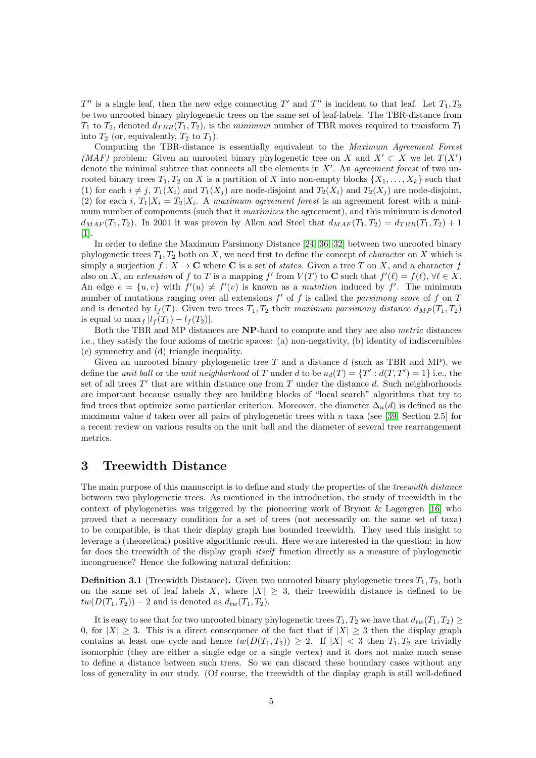$T''$  is a single leaf, then the new edge connecting T' and T'' is incident to that leaf. Let  $T_1, T_2$ be two unrooted binary phylogenetic trees on the same set of leaf-labels. The TBR-distance from  $T_1$  to  $T_2$ , denoted  $d_{TBR}(T_1, T_2)$ , is the minimum number of TBR moves required to transform  $T_1$ into  $T_2$  (or, equivalently,  $T_2$  to  $T_1$ ).

Computing the TBR-distance is essentially equivalent to the Maximum Agreement Forest (MAF) problem: Given an unrooted binary phylogenetic tree on X and  $X' \subset X$  we let  $T(X')$ denote the minimal subtree that connects all the elements in  $X'$ . An agreement forest of two unrooted binary trees  $T_1, T_2$  on X is a partition of X into non-empty blocks  $\{X_1, \ldots, X_k\}$  such that (1) for each  $i \neq j$ ,  $T_1(X_i)$  and  $T_1(X_j)$  are node-disjoint and  $T_2(X_i)$  and  $T_2(X_j)$  are node-disjoint, (2) for each *i*,  $T_1|X_i = T_2|X_i$ . A maximum agreement forest is an agreement forest with a minimum number of components (such that it *maximizes* the agreement), and this minimum is denoted  $d_{MAF}(T_1, T_2)$ . In 2001 it was proven by Allen and Steel that  $d_{MAF}(T_1, T_2) = d_{TBR}(T_1, T_2) + 1$ [\[1\]](#page-23-0).

In order to define the Maximum Parsimony Distance [\[24,](#page-24-5) [36,](#page-25-9) [32\]](#page-25-6) between two unrooted binary phylogenetic trees  $T_1, T_2$  both on X, we need first to define the concept of *character* on X which is simply a surjection  $f : X \to \mathbb{C}$  where  $\mathbb{C}$  is a set of *states*. Given a tree T on X, and a character f also on X, an extension of f to T is a mapping f' from  $V(T)$  to C such that  $f'(\ell) = f(\ell)$ ,  $\forall \ell \in X$ . An edge  $e = \{u, v\}$  with  $f'(u) \neq f'(v)$  is known as a mutation induced by f. The minimum number of mutations ranging over all extensions  $f'$  of  $f$  is called the parsimony score of  $f$  on  $T$ and is denoted by  $l_f(T)$ . Given two trees  $T_1, T_2$  their maximum parsimony distance  $d_{MP}(T_1, T_2)$ is equal to  $\max_{f} |l_f(T_1) - l_f(T_2)|$ .

Both the TBR and MP distances are NP-hard to compute and they are also metric distances i.e., they satisfy the four axioms of metric spaces: (a) non-negativity, (b) identity of indiscernibles (c) symmetry and (d) triangle inequality.

Given an unrooted binary phylogenetic tree  $T$  and a distance  $d$  (such as TBR and MP), we define the unit ball or the unit neighborhood of T under d to be  $u_d(T) = \{T' : d(T, T') = 1\}$  i.e., the set of all trees  $T'$  that are within distance one from T under the distance d. Such neighborhoods are important because usually they are building blocks of "local search" algorithms that try to find trees that optimize some particular criterion. Moreover, the diameter  $\Delta_n(d)$  is defined as the maximum value d taken over all pairs of phylogenetic trees with n taxa (see [\[39,](#page-25-15) Section 2.5] for a recent review on various results on the unit ball and the diameter of several tree rearrangement metrics.

### 3 Treewidth Distance

The main purpose of this manuscript is to define and study the properties of the treewidth distance between two phylogenetic trees. As mentioned in the introduction, the study of treewidth in the context of phylogenetics was triggered by the pioneering work of Bryant & Lagergren [\[16\]](#page-24-3) who proved that a necessary condition for a set of trees (not necessarily on the same set of taxa) to be compatible, is that their display graph has bounded treewidth. They used this insight to leverage a (theoretical) positive algorithmic result. Here we are interested in the question: in how far does the treewidth of the display graph itself function directly as a measure of phylogenetic incongruence? Hence the following natural definition:

**Definition 3.1** (Treewidth Distance). Given two unrooted binary phylogenetic trees  $T_1, T_2$ , both on the same set of leaf labels X, where  $|X| \geq 3$ , their treewidth distance is defined to be  $tw(D(T_1, T_2)) - 2$  and is denoted as  $d_{tw}(T_1, T_2)$ .

It is easy to see that for two unrooted binary phylogenetic trees  $T_1, T_2$  we have that  $d_{tw}(T_1, T_2) \ge$ 0, for  $|X| \geq 3$ . This is a direct consequence of the fact that if  $|X| \geq 3$  then the display graph contains at least one cycle and hence  $tw(D(T_1, T_2)) \geq 2$ . If  $|X| < 3$  then  $T_1, T_2$  are trivially isomorphic (they are either a single edge or a single vertex) and it does not make much sense to define a distance between such trees. So we can discard these boundary cases without any loss of generality in our study. (Of course, the treewidth of the display graph is still well-defined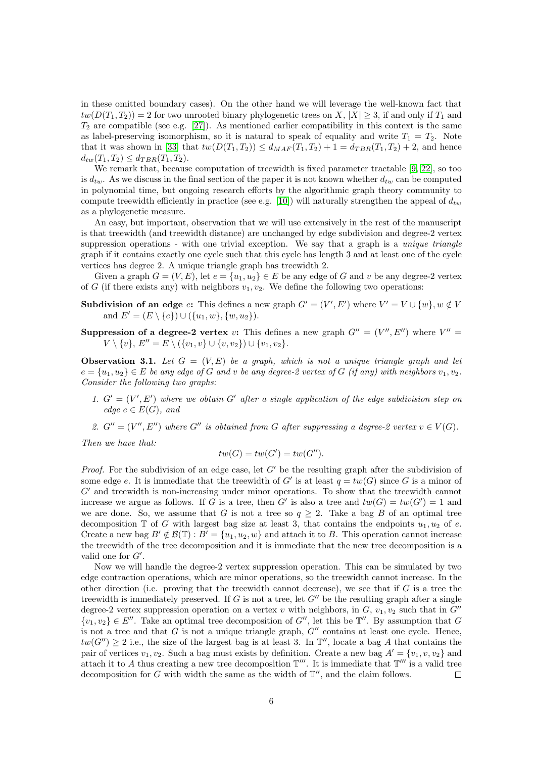in these omitted boundary cases). On the other hand we will leverage the well-known fact that  $tw(D(T_1, T_2)) = 2$  for two unrooted binary phylogenetic trees on X,  $|X| > 3$ , if and only if  $T_1$  and  $T_2$  are compatible (see e.g. [\[27\]](#page-25-5)). As mentioned earlier compatibility in this context is the same as label-preserving isomorphism, so it is natural to speak of equality and write  $T_1 = T_2$ . Note that it was shown in [\[33\]](#page-25-7) that  $tw(D(T_1, T_2)) \leq d_{MAF}(T_1, T_2) + 1 = d_{TBR}(T_1, T_2) + 2$ , and hence  $d_{tw}(T_1, T_2) \leq d_{TBR}(T_1, T_2).$ 

We remark that, because computation of treewidth is fixed parameter tractable [\[9,](#page-23-6) [22\]](#page-24-11), so too is  $d_{tw}$ . As we discuss in the final section of the paper it is not known whether  $d_{tw}$  can be computed in polynomial time, but ongoing research efforts by the algorithmic graph theory community to compute treewidth efficiently in practice (see e.g. [\[10\]](#page-24-12)) will naturally strengthen the appeal of  $d_{tw}$ as a phylogenetic measure.

An easy, but important, observation that we will use extensively in the rest of the manuscript is that treewidth (and treewidth distance) are unchanged by edge subdivision and degree-2 vertex suppression operations - with one trivial exception. We say that a graph is a *unique triangle* graph if it contains exactly one cycle such that this cycle has length 3 and at least one of the cycle vertices has degree 2. A unique triangle graph has treewidth 2.

Given a graph  $G = (V, E)$ , let  $e = \{u_1, u_2\} \in E$  be any edge of G and v be any degree-2 vertex of G (if there exists any) with neighbors  $v_1, v_2$ . We define the following two operations:

- **Subdivision of an edge e:** This defines a new graph  $G' = (V', E')$  where  $V' = V \cup \{w\}$ ,  $w \notin V$ and  $E' = (E \setminus \{e\}) \cup (\{u_1, w\}, \{w, u_2\}).$
- **Suppression of a degree-2 vertex v:** This defines a new graph  $G'' = (V'', E'')$  where  $V'' =$  $V \setminus \{v\}, E'' = E \setminus (\{v_1, v\} \cup \{v, v_2\}) \cup \{v_1, v_2\}.$

<span id="page-5-0"></span>**Observation 3.1.** Let  $G = (V, E)$  be a graph, which is not a unique triangle graph and let  $e = \{u_1, u_2\} \in E$  be any edge of G and v be any degree-2 vertex of G (if any) with neighbors  $v_1, v_2$ . Consider the following two graphs:

- 1.  $G' = (V', E')$  where we obtain G' after a single application of the edge subdivision step on edge  $e \in E(G)$ , and
- 2.  $G'' = (V'', E'')$  where  $G''$  is obtained from G after suppressing a degree-2 vertex  $v \in V(G)$ .

Then we have that:

$$
tw(G) = tw(G') = tw(G'').
$$

*Proof.* For the subdivision of an edge case, let  $G'$  be the resulting graph after the subdivision of some edge e. It is immediate that the treewidth of G' is at least  $q = tw(G)$  since G is a minor of  $G'$  and treewidth is non-increasing under minor operations. To show that the treewidth cannot increase we argue as follows. If G is a tree, then G' is also a tree and  $tw(G) = tw(G') = 1$  and we are done. So, we assume that G is not a tree so  $q \geq 2$ . Take a bag B of an optimal tree decomposition  $\mathbb T$  of G with largest bag size at least 3, that contains the endpoints  $u_1, u_2$  of e. Create a new bag  $B' \notin \mathcal{B}(\mathbb{T}): B' = \{u_1, u_2, w\}$  and attach it to B. This operation cannot increase the treewidth of the tree decomposition and it is immediate that the new tree decomposition is a valid one for  $G'$ .

Now we will handle the degree-2 vertex suppression operation. This can be simulated by two edge contraction operations, which are minor operations, so the treewidth cannot increase. In the other direction (i.e. proving that the treewidth cannot decrease), we see that if  $G$  is a tree the treewidth is immediately preserved. If G is not a tree, let  $G''$  be the resulting graph after a single degree-2 vertex suppression operation on a vertex v with neighbors, in  $G$ ,  $v_1$ ,  $v_2$  such that in  $G''$  $\{v_1, v_2\} \in E''$ . Take an optimal tree decomposition of G'', let this be  $\mathbb{T}''$ . By assumption that G is not a tree and that G is not a unique triangle graph,  $G''$  contains at least one cycle. Hence,  $tw(G'') \geq 2$  i.e., the size of the largest bag is at least 3. In  $\mathbb{T}''$ , locate a bag A that contains the pair of vertices  $v_1, v_2$ . Such a bag must exists by definition. Create a new bag  $A' = \{v_1, v_1, v_2\}$  and attach it to A thus creating a new tree decomposition  $\mathbb{T}'''$ . It is immediate that  $\mathbb{T}'''$  is a valid tree decomposition for  $G$  with width the same as the width of  $\mathbb{T}''$ , and the claim follows.  $\Box$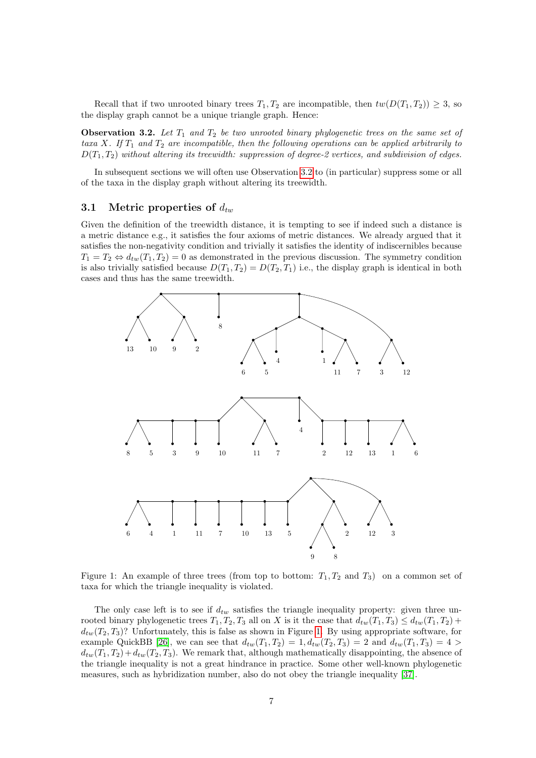Recall that if two unrooted binary trees  $T_1, T_2$  are incompatible, then  $tw(D(T_1, T_2)) \geq 3$ , so the display graph cannot be a unique triangle graph. Hence:

<span id="page-6-0"></span>**Observation 3.2.** Let  $T_1$  and  $T_2$  be two unrooted binary phylogenetic trees on the same set of taxa X. If  $T_1$  and  $T_2$  are incompatible, then the following operations can be applied arbitrarily to  $D(T_1, T_2)$  without altering its treewidth: suppression of degree-2 vertices, and subdivision of edges.

In subsequent sections we will often use Observation [3.2](#page-6-0) to (in particular) suppress some or all of the taxa in the display graph without altering its treewidth.

### 3.1 Metric properties of  $d_{tw}$

Given the definition of the treewidth distance, it is tempting to see if indeed such a distance is a metric distance e.g., it satisfies the four axioms of metric distances. We already argued that it satisfies the non-negativity condition and trivially it satisfies the identity of indiscernibles because  $T_1 = T_2 \Leftrightarrow d_{tw}(T_1, T_2) = 0$  as demonstrated in the previous discussion. The symmetry condition is also trivially satisfied because  $D(T_1, T_2) = D(T_2, T_1)$  i.e., the display graph is identical in both cases and thus has the same treewidth.



<span id="page-6-1"></span>Figure 1: An example of three trees (from top to bottom:  $T_1, T_2$  and  $T_3$ ) on a common set of taxa for which the triangle inequality is violated.

The only case left is to see if  $d_{tw}$  satisfies the triangle inequality property: given three unrooted binary phylogenetic trees  $T_1, T_2, T_3$  all on X is it the case that  $d_{tw}(T_1, T_3) \leq d_{tw}(T_1, T_2)$  +  $d_{tw}(T_2, T_3)$ ? Unfortunately, this is false as shown in Figure [1.](#page-6-1) By using appropriate software, for example QuickBB [\[26\]](#page-24-13), we can see that  $d_{tw}(T_1, T_2) = 1, d_{tw}(T_2, T_3) = 2$  and  $d_{tw}(T_1, T_3) = 4 >$  $d_{tw}(T_1, T_2) + d_{tw}(T_2, T_3)$ . We remark that, although mathematically disappointing, the absence of the triangle inequality is not a great hindrance in practice. Some other well-known phylogenetic measures, such as hybridization number, also do not obey the triangle inequality [\[37\]](#page-25-16).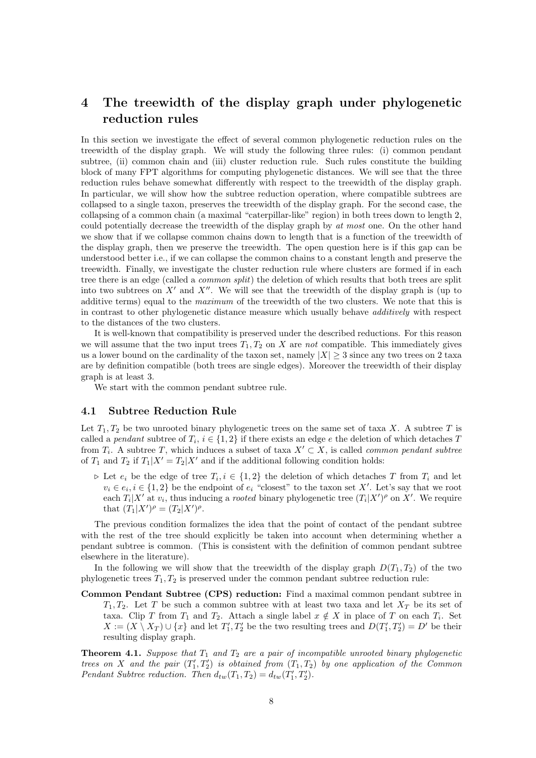## 4 The treewidth of the display graph under phylogenetic reduction rules

In this section we investigate the effect of several common phylogenetic reduction rules on the treewidth of the display graph. We will study the following three rules: (i) common pendant subtree, (ii) common chain and (iii) cluster reduction rule. Such rules constitute the building block of many FPT algorithms for computing phylogenetic distances. We will see that the three reduction rules behave somewhat differently with respect to the treewidth of the display graph. In particular, we will show how the subtree reduction operation, where compatible subtrees are collapsed to a single taxon, preserves the treewidth of the display graph. For the second case, the collapsing of a common chain (a maximal "caterpillar-like" region) in both trees down to length 2, could potentially decrease the treewidth of the display graph by at most one. On the other hand we show that if we collapse common chains down to length that is a function of the treewidth of the display graph, then we preserve the treewidth. The open question here is if this gap can be understood better i.e., if we can collapse the common chains to a constant length and preserve the treewidth. Finally, we investigate the cluster reduction rule where clusters are formed if in each tree there is an edge (called a *common split*) the deletion of which results that both trees are split into two subtrees on  $X'$  and  $X''$ . We will see that the treewidth of the display graph is (up to additive terms) equal to the maximum of the treewidth of the two clusters. We note that this is in contrast to other phylogenetic distance measure which usually behave additively with respect to the distances of the two clusters.

It is well-known that compatibility is preserved under the described reductions. For this reason we will assume that the two input trees  $T_1, T_2$  on X are not compatible. This immediately gives us a lower bound on the cardinality of the taxon set, namely  $|X| \geq 3$  since any two trees on 2 taxa are by definition compatible (both trees are single edges). Moreover the treewidth of their display graph is at least 3.

We start with the common pendant subtree rule.

#### 4.1 Subtree Reduction Rule

Let  $T_1, T_2$  be two unrooted binary phylogenetic trees on the same set of taxa X. A subtree T is called a *pendant* subtree of  $T_i$ ,  $i \in \{1,2\}$  if there exists an edge  $e$  the deletion of which detaches T from  $T_i$ . A subtree T, which induces a subset of taxa  $X' \subset X$ , is called *common pendant subtree* of  $T_1$  and  $T_2$  if  $T_1|X' = T_2|X'$  and if the additional following condition holds:

 $\triangleright$  Let  $e_i$  be the edge of tree  $T_i, i \in \{1,2\}$  the deletion of which detaches T from  $T_i$  and let  $v_i \in e_i, i \in \{1,2\}$  be the endpoint of  $e_i$  "closest" to the taxon set X'. Let's say that we root each  $T_i|X'$  at  $v_i$ , thus inducing a *rooted* binary phylogenetic tree  $(T_i|X')^{\rho}$  on X'. We require that  $(T_1|X')^{\rho} = (T_2|X')^{\rho}$ .

The previous condition formalizes the idea that the point of contact of the pendant subtree with the rest of the tree should explicitly be taken into account when determining whether a pendant subtree is common. (This is consistent with the definition of common pendant subtree elsewhere in the literature).

In the following we will show that the treewidth of the display graph  $D(T_1, T_2)$  of the two phylogenetic trees  $T_1, T_2$  is preserved under the common pendant subtree reduction rule:

Common Pendant Subtree (CPS) reduction: Find a maximal common pendant subtree in  $T_1, T_2$ . Let T be such a common subtree with at least two taxa and let  $X_T$  be its set of taxa. Clip T from  $T_1$  and  $T_2$ . Attach a single label  $x \notin X$  in place of T on each  $T_i$ . Set  $X := (X \setminus X_T) \cup \{x\}$  and let  $T'_1, T'_2$  be the two resulting trees and  $D(T'_1, T'_2) = D'$  be their resulting display graph.

<span id="page-7-0"></span>**Theorem 4.1.** Suppose that  $T_1$  and  $T_2$  are a pair of incompatible unrooted binary phylogenetic trees on X and the pair  $(T_1', T_2')$  is obtained from  $(T_1, T_2)$  by one application of the Common Pendant Subtree reduction. Then  $d_{tw}(T_1, T_2) = d_{tw}(T'_1, T'_2)$ .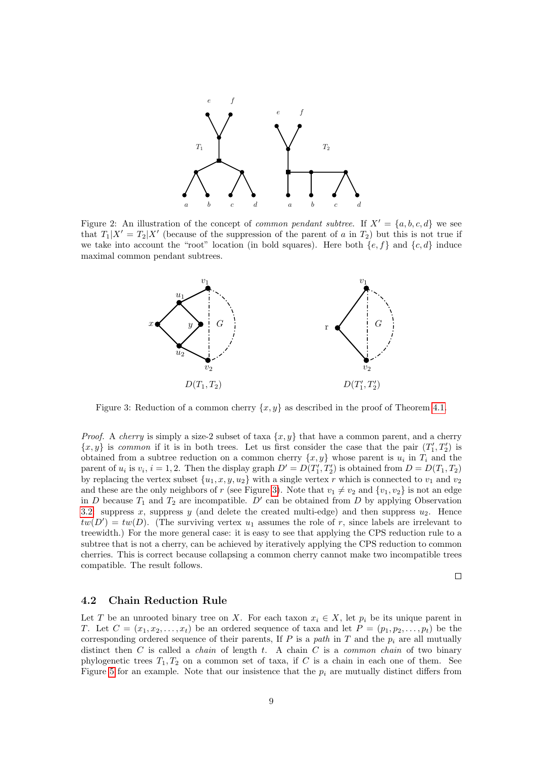

Figure 2: An illustration of the concept of *common pendant subtree*. If  $X' = \{a, b, c, d\}$  we see that  $T_1|X' = T_2|X'$  (because of the suppression of the parent of a in  $T_2$ ) but this is not true if we take into account the "root" location (in bold squares). Here both  $\{e, f\}$  and  $\{c, d\}$  induce maximal common pendant subtrees.



<span id="page-8-0"></span>Figure 3: Reduction of a common cherry  $\{x, y\}$  as described in the proof of Theorem [4.1.](#page-7-0)

*Proof.* A *cherry* is simply a size-2 subset of taxa  $\{x, y\}$  that have a common parent, and a cherry  $\{x, y\}$  is common if it is in both trees. Let us first consider the case that the pair  $(T'_1, T'_2)$  is obtained from a subtree reduction on a common cherry  $\{x, y\}$  whose parent is  $u_i$  in  $T_i$  and the parent of  $u_i$  is  $v_i$ ,  $i = 1, 2$ . Then the display graph  $D' = D(T'_1, T'_2)$  is obtained from  $D = D(T_1, T_2)$ by replacing the vertex subset  $\{u_1, x, y, u_2\}$  with a single vertex r which is connected to  $v_1$  and  $v_2$ and these are the only neighbors of r (see Figure [3\)](#page-8-0). Note that  $v_1 \neq v_2$  and  $\{v_1, v_2\}$  is not an edge in D because  $T_1$  and  $T_2$  are incompatible. D' can be obtained from D by applying Observation [3.2:](#page-6-0) suppress x, suppress y (and delete the created multi-edge) and then suppress  $u_2$ . Hence  $tw(D') = tw(D)$ . (The surviving vertex  $u_1$  assumes the role of r, since labels are irrelevant to treewidth.) For the more general case: it is easy to see that applying the CPS reduction rule to a subtree that is not a cherry, can be achieved by iteratively applying the CPS reduction to common cherries. This is correct because collapsing a common cherry cannot make two incompatible trees compatible. The result follows.

 $\Box$ 

#### 4.2 Chain Reduction Rule

Let T be an unrooted binary tree on X. For each taxon  $x_i \in X$ , let  $p_i$  be its unique parent in T. Let  $C = (x_1, x_2, \ldots, x_t)$  be an ordered sequence of taxa and let  $P = (p_1, p_2, \ldots, p_t)$  be the corresponding ordered sequence of their parents, If  $P$  is a path in  $T$  and the  $p_i$  are all mutually distinct then  $C$  is called a *chain* of length  $t$ . A chain  $C$  is a *common chain* of two binary phylogenetic trees  $T_1, T_2$  on a common set of taxa, if C is a chain in each one of them. See Figure [5](#page-13-0) for an example. Note that our insistence that the  $p_i$  are mutually distinct differs from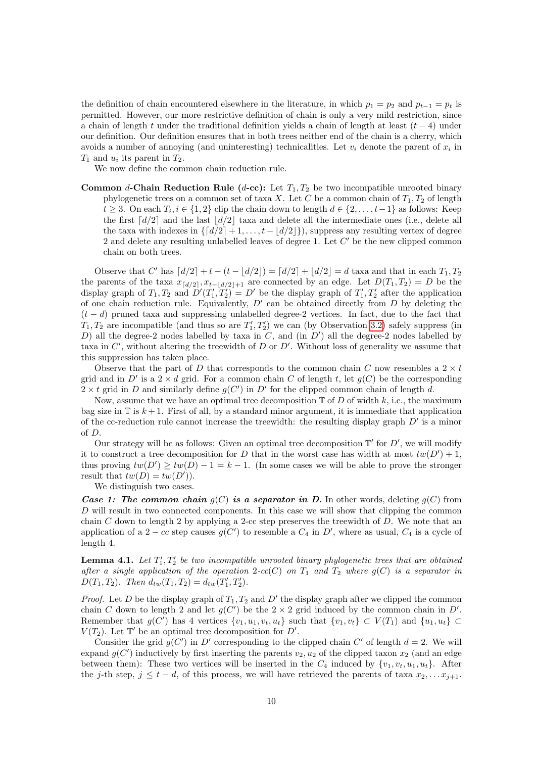the definition of chain encountered elsewhere in the literature, in which  $p_1 = p_2$  and  $p_{t-1} = p_t$  is permitted. However, our more restrictive definition of chain is only a very mild restriction, since a chain of length t under the traditional definition yields a chain of length at least  $(t - 4)$  under our definition. Our definition ensures that in both trees neither end of the chain is a cherry, which avoids a number of annoying (and uninteresting) technicalities. Let  $v_i$  denote the parent of  $x_i$  in  $T_1$  and  $u_i$  its parent in  $T_2$ .

We now define the common chain reduction rule.

Common d-Chain Reduction Rule (d-cc): Let  $T_1, T_2$  be two incompatible unrooted binary phylogenetic trees on a common set of taxa X. Let C be a common chain of  $T_1, T_2$  of length  $t \geq 3$ . On each  $T_i, i \in \{1,2\}$  clip the chain down to length  $d \in \{2,\ldots,t-1\}$  as follows: Keep the first  $\lceil d/2 \rceil$  and the last  $\lceil d/2 \rceil$  taxa and delete all the intermediate ones (i.e., delete all the taxa with indexes in  $\{[d/2]+1,\ldots,t-|d/2|\}$ , suppress any resulting vertex of degree 2 and delete any resulting unlabelled leaves of degree 1. Let  $C'$  be the new clipped common chain on both trees.

Observe that C' has  $\lceil d/2 \rceil + t - (t - \lfloor d/2 \rfloor) = \lceil d/2 \rceil + \lfloor d/2 \rfloor = d$  taxa and that in each  $T_1, T_2$ the parents of the taxa  $x_{\lceil d/2 \rceil}, x_{t-\lfloor d/2 \rfloor+1}$  are connected by an edge. Let  $D(T_1, T_2) = D$  be the display graph of  $T_1, T_2$  and  $D'(T'_1, T'_2) = D'$  be the display graph of  $T'_1, T'_2$  after the application of one chain reduction rule. Equivalently,  $D'$  can be obtained directly from D by deleting the  $(t - d)$  pruned taxa and suppressing unlabelled degree-2 vertices. In fact, due to the fact that  $T_1, T_2$  are incompatible (and thus so are  $T_1', T_2'$ ) we can (by Observation [3.2\)](#page-6-0) safely suppress (in D) all the degree-2 nodes labelled by taxa in C, and (in  $D'$ ) all the degree-2 nodes labelled by taxa in C', without altering the treewidth of D or D'. Without loss of generality we assume that this suppression has taken place.

Observe that the part of D that corresponds to the common chain C now resembles a  $2 \times t$ grid and in D' is a  $2 \times d$  grid. For a common chain C of length t, let  $g(C)$  be the corresponding  $2 \times t$  grid in D and similarly define  $g(C')$  in D' for the clipped common chain of length d.

Now, assume that we have an optimal tree decomposition  $\mathbb T$  of D of width k, i.e., the maximum bag size in  $\mathbb T$  is  $k+1$ . First of all, by a standard minor argument, it is immediate that application of the cc-reduction rule cannot increase the treewidth: the resulting display graph  $D'$  is a minor of D.

Our strategy will be as follows: Given an optimal tree decomposition  $\mathbb{T}'$  for  $D'$ , we will modify it to construct a tree decomposition for D that in the worst case has width at most  $tw(D')+1$ , thus proving  $tw(D') \ge tw(D) - 1 = k - 1$ . (In some cases we will be able to prove the stronger result that  $tw(D) = tw(D')$ .

We distinguish two cases.

**Case 1: The common chain**  $q(C)$  is a separator in D. In other words, deleting  $q(C)$  from D will result in two connected components. In this case we will show that clipping the common chain  $C$  down to length 2 by applying a 2-cc step preserves the treewidth of  $D$ . We note that an application of a 2 – cc step causes  $g(C')$  to resemble a  $C_4$  in  $D'$ , where as usual,  $C_4$  is a cycle of length 4.

<span id="page-9-0"></span>**Lemma 4.1.** Let  $T_1', T_2'$  be two incompatible unrooted binary phylogenetic trees that are obtained after a single application of the operation 2-cc(C) on  $T_1$  and  $T_2$  where  $g(C)$  is a separator in  $D(T_1, T_2)$ . Then  $d_{tw}(T_1, T_2) = d_{tw}(T_1', T_2')$ .

*Proof.* Let D be the display graph of  $T_1, T_2$  and D' the display graph after we clipped the common chain C down to length 2 and let  $g(C')$  be the  $2 \times 2$  grid induced by the common chain in D'. Remember that  $g(C')$  has 4 vertices  $\{v_1, u_1, v_t, u_t\}$  such that  $\{v_1, v_t\} \subset V(T_1)$  and  $\{u_1, u_t\} \subset$  $V(T_2)$ . Let  $\mathbb{T}'$  be an optimal tree decomposition for D'.

Consider the grid  $g(C')$  in D' corresponding to the clipped chain C' of length  $d = 2$ . We will expand  $g(C')$  inductively by first inserting the parents  $v_2, u_2$  of the clipped taxon  $x_2$  (and an edge between them): These two vertices will be inserted in the  $C_4$  induced by  $\{v_1, v_t, u_1, u_t\}$ . After the j-th step,  $j \leq t - d$ , of this process, we will have retrieved the parents of taxa  $x_2, \ldots x_{j+1}$ .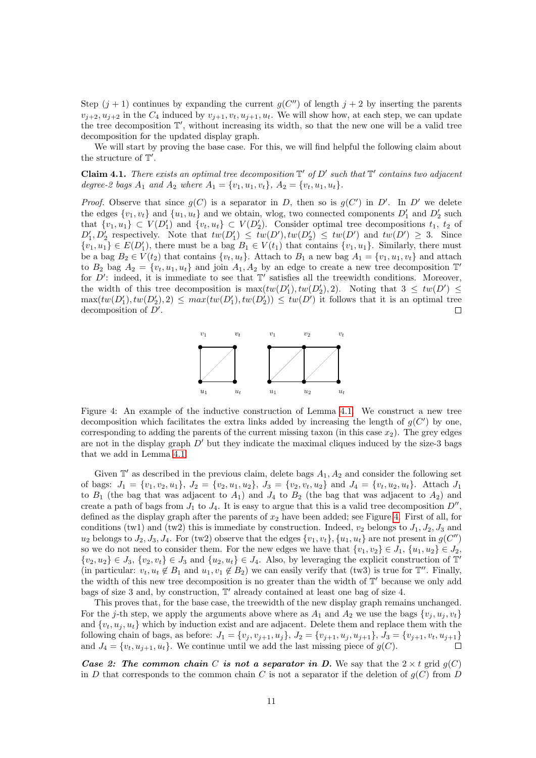Step  $(j + 1)$  continues by expanding the current  $g(C'')$  of length  $j + 2$  by inserting the parents  $v_{i+2}, u_{i+2}$  in the  $C_4$  induced by  $v_{i+1}, v_t, u_{i+1}, u_t$ . We will show how, at each step, we can update the tree decomposition  $\mathbb{T}'$ , without increasing its width, so that the new one will be a valid tree decomposition for the updated display graph.

We will start by proving the base case. For this, we will find helpful the following claim about the structure of  $\mathbb{T}'$ .

Claim 4.1. There exists an optimal tree decomposition  $\mathbb{T}'$  of  $D'$  such that  $\mathbb{T}'$  contains two adjacent degree-2 bags  $A_1$  and  $A_2$  where  $A_1 = \{v_1, u_1, v_t\}, A_2 = \{v_t, u_1, u_t\}.$ 

*Proof.* Observe that since  $g(C)$  is a separator in D, then so is  $g(C')$  in D'. In D' we delete the edges  $\{v_1, v_t\}$  and  $\{u_1, u_t\}$  and we obtain, wlog, two connected components  $D'_1$  and  $D'_2$  such that  $\{v_1, u_1\} \subset V(D'_1)$  and  $\{v_t, u_t\} \subset V(D'_2)$ . Consider optimal tree decompositions  $t_1, t_2$  of  $D'_1, D'_2$  respectively. Note that  $tw(D'_1) \leq tw(D'), tw(D'_2) \leq tw(D')$  and  $tw(D') \geq 3$ . Since  $\{v_1, u_1\} \in E(D'_1)$ , there must be a bag  $B_1 \in V(t_1)$  that contains  $\{v_1, u_1\}$ . Similarly, there must be a bag  $B_2 \in V(t_2)$  that contains  $\{v_t, u_t\}$ . Attach to  $B_1$  a new bag  $A_1 = \{v_1, u_1, v_t\}$  and attach to  $B_2$  bag  $A_2 = \{v_t, u_1, u_t\}$  and join  $A_1, A_2$  by an edge to create a new tree decomposition  $\mathbb{T}^d$ for  $D'$ : indeed, it is immediate to see that  $T'$  satisfies all the treewidth conditions. Moreover, the width of this tree decomposition is  $\max(tw(D'_1), tw(D'_2), 2)$ . Noting that  $3 \leq tw(D') \leq$  $\max(tw(D'_1), tw(D'_2), 2) \leq max(tw(D'_1), tw(D'_2)) \leq tw(D')$  it follows that it is an optimal tree decomposition of  $D'$ .  $\Box$ 



<span id="page-10-0"></span>Figure 4: An example of the inductive construction of Lemma [4.1.](#page-9-0) We construct a new tree decomposition which facilitates the extra links added by increasing the length of  $g(C')$  by one, corresponding to adding the parents of the current missing taxon (in this case  $x_2$ ). The grey edges are not in the display graph  $D'$  but they indicate the maximal cliques induced by the size-3 bags that we add in Lemma [4.1.](#page-9-0)

Given  $\mathbb{T}'$  as described in the previous claim, delete bags  $A_1, A_2$  and consider the following set of bags:  $J_1 = \{v_1, v_2, u_1\}, J_2 = \{v_2, u_1, u_2\}, J_3 = \{v_2, v_t, u_2\}$  and  $J_4 = \{v_t, u_2, u_t\}.$  Attach  $J_1$ to  $B_1$  (the bag that was adjacent to  $A_1$ ) and  $J_4$  to  $B_2$  (the bag that was adjacent to  $A_2$ ) and create a path of bags from  $J_1$  to  $J_4$ . It is easy to argue that this is a valid tree decomposition  $D''$ , defined as the display graph after the parents of  $x_2$  have been added; see Figure [4.](#page-10-0) First of all, for conditions (tw1) and (tw2) this is immediate by construction. Indeed,  $v_2$  belongs to  $J_1, J_2, J_3$  and  $u_2$  belongs to  $J_2, J_3, J_4$ . For (tw2) observe that the edges  $\{v_1, v_t\}$ ,  $\{u_1, u_t\}$  are not present in  $g(C'')$ so we do not need to consider them. For the new edges we have that  $\{v_1, v_2\} \in J_1$ ,  $\{u_1, u_2\} \in J_2$ ,  $\{v_2, u_2\} \in J_3$ ,  $\{v_2, v_t\} \in J_3$  and  $\{u_2, u_t\} \in J_4$ . Also, by leveraging the explicit construction of  $\mathbb{T}^d$ (in particular:  $v_t, u_t \notin B_1$  and  $u_1, v_1 \notin B_2$ ) we can easily verify that (tw3) is true for  $\mathbb{T}''$ . Finally, the width of this new tree decomposition is no greater than the width of  $\mathbb{T}'$  because we only add bags of size 3 and, by construction,  $\mathbb{T}'$  already contained at least one bag of size 4.

This proves that, for the base case, the treewidth of the new display graph remains unchanged. For the j-th step, we apply the arguments above where as  $A_1$  and  $A_2$  we use the bags  $\{v_i, u_i, v_t\}$ and  $\{v_t, u_j, u_t\}$  which by induction exist and are adjacent. Delete them and replace them with the following chain of bags, as before:  $J_1 = \{v_j, v_{j+1}, u_j\}$ ,  $J_2 = \{v_{j+1}, u_j, u_{j+1}\}$ ,  $J_3 = \{v_{j+1}, v_t, u_{j+1}\}$  and  $J_4 = \{v_t, u_{i+1}, u_t\}$ . We continue until we add the last missing piece of  $g(C)$ . and  $J_4 = \{v_t, u_{i+1}, u_t\}$ . We continue until we add the last missing piece of  $g(C)$ .

Case 2: The common chain C is not a separator in D. We say that the  $2 \times t$  grid  $g(C)$ in D that corresponds to the common chain C is not a separator if the deletion of  $g(C)$  from D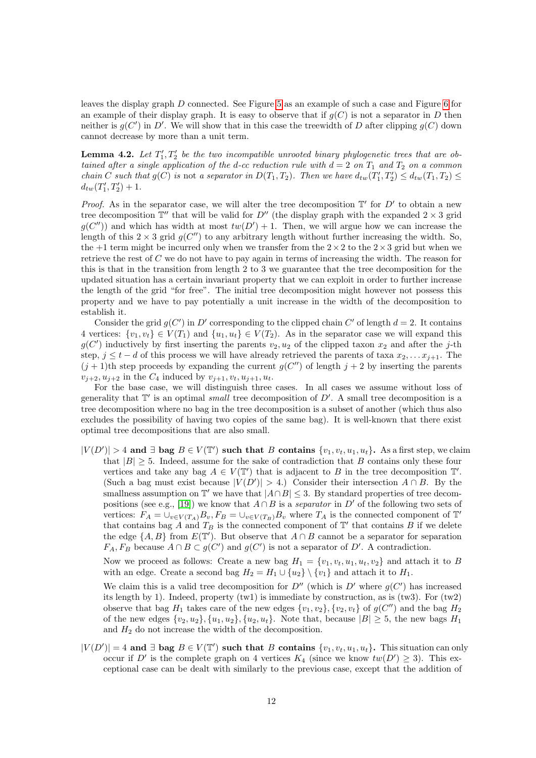leaves the display graph D connected. See Figure [5](#page-13-0) as an example of such a case and Figure [6](#page-13-1) for an example of their display graph. It is easy to observe that if  $q(C)$  is not a separator in D then neither is  $g(C')$  in D'. We will show that in this case the treewidth of D after clipping  $g(C)$  down cannot decrease by more than a unit term.

**Lemma 4.2.** Let  $T_1', T_2'$  be the two incompatible unrooted binary phylogenetic trees that are obtained after a single application of the d-cc reduction rule with  $d = 2$  on  $T_1$  and  $T_2$  on a common chain C such that  $g(C)$  is not a separator in  $D(T_1, T_2)$ . Then we have  $d_{tw}(T'_1, T'_2) \leq d_{tw}(T_1, T_2) \leq$  $d_{tw}(T_1', T_2') + 1.$ 

*Proof.* As in the separator case, we will alter the tree decomposition  $\mathbb{T}'$  for  $D'$  to obtain a new tree decomposition  $\mathbb{T}''$  that will be valid for  $D''$  (the display graph with the expanded  $2 \times 3$  grid  $g(C'')$  and which has width at most  $tw(D')+1$ . Then, we will argue how we can increase the length of this  $2 \times 3$  grid  $g(C'')$  to any arbitrary length without further increasing the width. So, the +1 term might be incurred only when we transfer from the  $2 \times 2$  to the  $2 \times 3$  grid but when we retrieve the rest of C we do not have to pay again in terms of increasing the width. The reason for this is that in the transition from length 2 to 3 we guarantee that the tree decomposition for the updated situation has a certain invariant property that we can exploit in order to further increase the length of the grid "for free". The initial tree decomposition might however not possess this property and we have to pay potentially a unit increase in the width of the decomposition to establish it.

Consider the grid  $g(C')$  in D' corresponding to the clipped chain C' of length  $d = 2$ . It contains 4 vertices:  $\{v_1, v_t\} \in V(T_1)$  and  $\{u_1, u_t\} \in V(T_2)$ . As in the separator case we will expand this  $g(C')$  inductively by first inserting the parents  $v_2, u_2$  of the clipped taxon  $x_2$  and after the j-th step,  $j \leq t - d$  of this process we will have already retrieved the parents of taxa  $x_2, \ldots x_{j+1}$ . The  $(j+1)$ th step proceeds by expanding the current  $g(C'')$  of length  $j+2$  by inserting the parents  $v_{j+2}, u_{j+2}$  in the  $C_4$  induced by  $v_{j+1}, v_t, u_{j+1}, u_t$ .

For the base case, we will distinguish three cases. In all cases we assume without loss of generality that  $\mathbb{T}'$  is an optimal *small* tree decomposition of  $D'$ . A small tree decomposition is a tree decomposition where no bag in the tree decomposition is a subset of another (which thus also excludes the possibility of having two copies of the same bag). It is well-known that there exist optimal tree decompositions that are also small.

 $|V(D')| > 4$  and  $\exists$  bag  $B \in V(\mathbb{T}')$  such that B contains  $\{v_1, v_t, u_1, u_t\}$ . As a first step, we claim that  $|B| > 5$ . Indeed, assume for the sake of contradiction that B contains only these four vertices and take any bag  $A \in V(T')$  that is adjacent to B in the tree decomposition  $T'$ . (Such a bag must exist because  $|V(D')| > 4$ .) Consider their intersection  $A \cap B$ . By the smallness assumption on  $\mathbb{T}'$  we have that  $|A \cap B| \leq 3$ . By standard properties of tree decom-positions (see e.g., [\[19\]](#page-24-2)) we know that  $A \cap B$  is a separator in D' of the following two sets of vertices:  $F_A = \bigcup_{v \in V(T_A)} B_v$ ,  $F_B = \bigcup_{v \in V(T_B)} B_v$  where  $T_A$  is the connected component of  $\mathbb{T}^d$ that contains bag A and  $T_B$  is the connected component of  $\mathbb{T}'$  that contains B if we delete the edge  $\{A, B\}$  from  $E(\mathbb{T}')$ . But observe that  $A \cap B$  cannot be a separator for separation  $F_A, F_B$  because  $A \cap B \subset g(C')$  and  $g(C')$  is not a separator of D'. A contradiction.

Now we proceed as follows: Create a new bag  $H_1 = \{v_1, v_t, u_1, u_t, v_2\}$  and attach it to B with an edge. Create a second bag  $H_2 = H_1 \cup \{u_2\} \setminus \{v_1\}$  and attach it to  $H_1$ .

We claim this is a valid tree decomposition for  $D''$  (which is  $D'$  where  $g(C')$  has increased its length by 1). Indeed, property  $(tw1)$  is immediate by construction, as is  $(tw3)$ . For  $(tw2)$ observe that bag  $H_1$  takes care of the new edges  $\{v_1, v_2\}$ ,  $\{v_2, v_t\}$  of  $g(C'')$  and the bag  $H_2$ of the new edges  $\{v_2, u_2\}, \{u_1, u_2\}, \{u_2, u_t\}.$  Note that, because  $|B| \geq 5$ , the new bags  $H_1$ and  $H_2$  do not increase the width of the decomposition.

 $|V(D')|=4$  and  $\exists$  bag  $B \in V(\mathbb{T}')$  such that B contains  $\{v_1, v_t, u_1, u_t\}$ . This situation can only occur if D' is the complete graph on 4 vertices  $K_4$  (since we know  $tw(D') \geq 3$ ). This exceptional case can be dealt with similarly to the previous case, except that the addition of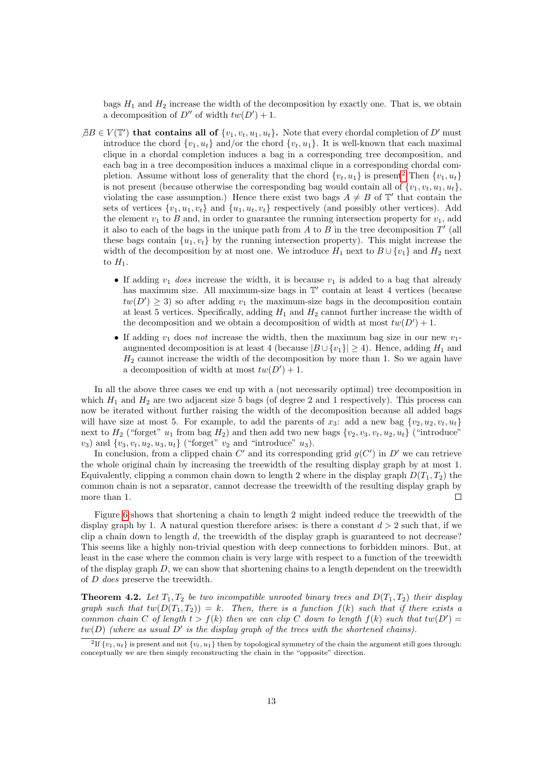bags  $H_1$  and  $H_2$  increase the width of the decomposition by exactly one. That is, we obtain a decomposition of  $D''$  of width  $tw(D') + 1$ .

- $\exists B \in V(\mathbb{T}')$  that contains all of  $\{v_1, v_t, u_1, u_t\}$ . Note that every chordal completion of D' must introduce the chord  $\{v_1, u_t\}$  and/or the chord  $\{v_t, u_1\}$ . It is well-known that each maximal clique in a chordal completion induces a bag in a corresponding tree decomposition, and each bag in a tree decomposition induces a maximal clique in a corresponding chordal completion. Assume without loss of generality that the chord  $\{v_t, u_1\}$  is present<sup>[2](#page-12-0)</sup> Then  $\{v_1, u_t\}$ is not present (because otherwise the corresponding bag would contain all of  $\{v_1, v_t, u_1, u_t\}$ , violating the case assumption.) Hence there exist two bags  $A \neq B$  of  $\mathbb{T}'$  that contain the sets of vertices  $\{v_1, u_1, v_t\}$  and  $\{u_1, u_t, v_t\}$  respectively (and possibly other vertices). Add the element  $v_1$  to B and, in order to guarantee the running intersection property for  $v_1$ , add it also to each of the bags in the unique path from A to B in the tree decomposition  $T'$  (all these bags contain  $\{u_1, v_t\}$  by the running intersection property). This might increase the width of the decomposition by at most one. We introduce  $H_1$  next to  $B \cup \{v_1\}$  and  $H_2$  next to  $H_1$ .
	- If adding  $v_1$  does increase the width, it is because  $v_1$  is added to a bag that already has maximum size. All maximum-size bags in  $\mathbb{T}'$  contain at least 4 vertices (because  $tw(D') \geq 3$ ) so after adding  $v_1$  the maximum-size bags in the decomposition contain at least 5 vertices. Specifically, adding  $H_1$  and  $H_2$  cannot further increase the width of the decomposition and we obtain a decomposition of width at most  $tw(D') + 1$ .
	- If adding  $v_1$  does not increase the width, then the maximum bag size in our new  $v_1$ augmented decomposition is at least 4 (because  $|B \cup \{v_1\}| \geq 4$ ). Hence, adding  $H_1$  and  $H_2$  cannot increase the width of the decomposition by more than 1. So we again have a decomposition of width at most  $tw(D') + 1$ .

In all the above three cases we end up with a (not necessarily optimal) tree decomposition in which  $H_1$  and  $H_2$  are two adjacent size 5 bags (of degree 2 and 1 respectively). This process can now be iterated without further raising the width of the decomposition because all added bags will have size at most 5. For example, to add the parents of  $x_3$ : add a new bag  $\{v_2, u_2, v_t, u_t\}$ next to  $H_2$  ("forget"  $u_1$  from bag  $H_2$ ) and then add two new bags  $\{v_2, v_3, v_t, u_2, u_t\}$  ("introduce"  $v_3$ ) and  $\{v_3, v_t, u_2, u_3, u_t\}$  ("forget"  $v_2$  and "introduce"  $u_3$ ).

In conclusion, from a clipped chain C' and its corresponding grid  $g(C')$  in D' we can retrieve the whole original chain by increasing the treewidth of the resulting display graph by at most 1. Equivalently, clipping a common chain down to length 2 where in the display graph  $D(T_1, T_2)$  the common chain is not a separator, cannot decrease the treewidth of the resulting display graph by more than 1.  $\Box$ 

Figure [6](#page-13-1) shows that shortening a chain to length 2 might indeed reduce the treewidth of the display graph by 1. A natural question therefore arises: is there a constant  $d > 2$  such that, if we clip a chain down to length  $d$ , the treewidth of the display graph is guaranteed to not decrease? This seems like a highly non-trivial question with deep connections to forbidden minors. But, at least in the case where the common chain is very large with respect to a function of the treewidth of the display graph  $D$ , we can show that shortening chains to a length dependent on the treewidth of D does preserve the treewidth.

**Theorem 4.2.** Let  $T_1, T_2$  be two incompatible unrooted binary trees and  $D(T_1, T_2)$  their display graph such that  $tw(D(T_1, T_2)) = k$ . Then, there is a function  $f(k)$  such that if there exists a common chain C of length  $t > f(k)$  then we can clip C down to length  $f(k)$  such that  $tw(D') =$  $tw(D)$  (where as usual D' is the display graph of the trees with the shortened chains).

<span id="page-12-0"></span><sup>&</sup>lt;sup>2</sup>If  $\{v_1, u_t\}$  is present and not  $\{v_t, u_1\}$  then by topological symmetry of the chain the argument still goes through: conceptually we are then simply reconstructing the chain in the "opposite" direction.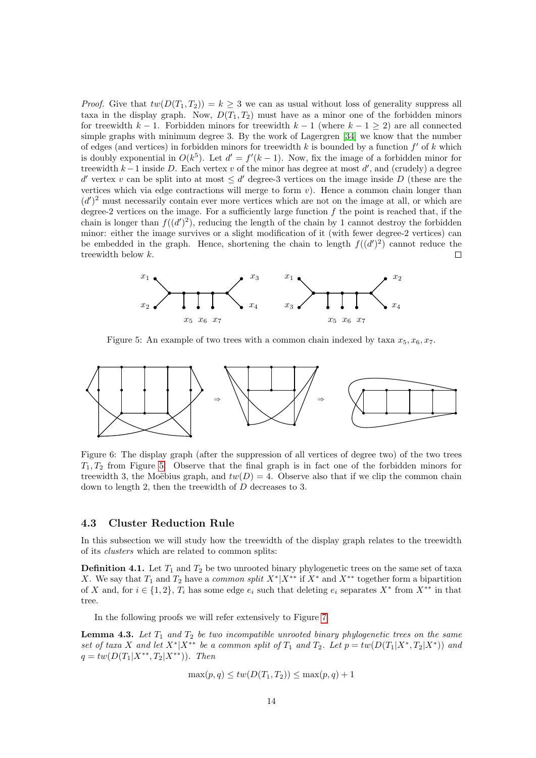*Proof.* Give that  $tw(D(T_1, T_2)) = k \geq 3$  we can as usual without loss of generality suppress all taxa in the display graph. Now,  $D(T_1, T_2)$  must have as a minor one of the forbidden minors for treewidth  $k - 1$ . Forbidden minors for treewidth  $k - 1$  (where  $k - 1 \geq 2$ ) are all connected simple graphs with minimum degree 3. By the work of Lagergren [\[34\]](#page-25-17) we know that the number of edges (and vertices) in forbidden minors for treewidth k is bounded by a function  $f'$  of k which is doubly exponential in  $O(k^5)$ . Let  $d' = f'(k-1)$ . Now, fix the image of a forbidden minor for treewidth  $k-1$  inside D. Each vertex v of the minor has degree at most d', and (crudely) a degree d' vertex v can be split into at most  $\leq d'$  degree-3 vertices on the image inside D (these are the vertices which via edge contractions will merge to form  $v$ ). Hence a common chain longer than  $(d')^2$  must necessarily contain ever more vertices which are not on the image at all, or which are degree-2 vertices on the image. For a sufficiently large function  $f$  the point is reached that, if the chain is longer than  $f((d')^2)$ , reducing the length of the chain by 1 cannot destroy the forbidden minor: either the image survives or a slight modification of it (with fewer degree-2 vertices) can be embedded in the graph. Hence, shortening the chain to length  $f((d')^2)$  cannot reduce the treewidth below k.  $\Box$ 



<span id="page-13-0"></span>Figure 5: An example of two trees with a common chain indexed by taxa  $x_5, x_6, x_7$ .



<span id="page-13-1"></span>Figure 6: The display graph (after the suppression of all vertices of degree two) of the two trees  $T_1, T_2$  from Figure [5.](#page-13-0) Observe that the final graph is in fact one of the forbidden minors for treewidth 3, the Moëbius graph, and  $tw(D) = 4$ . Observe also that if we clip the common chain down to length 2, then the treewidth of D decreases to 3.

#### 4.3 Cluster Reduction Rule

In this subsection we will study how the treewidth of the display graph relates to the treewidth of its clusters which are related to common splits:

**Definition 4.1.** Let  $T_1$  and  $T_2$  be two unrooted binary phylogenetic trees on the same set of taxa X. We say that  $T_1$  and  $T_2$  have a *common split*  $X^*|X^{**}$  if  $X^*$  and  $X^{**}$  together form a bipartition of X and, for  $i \in \{1,2\}$ ,  $T_i$  has some edge  $e_i$  such that deleting  $e_i$  separates  $X^*$  from  $X^{**}$  in that tree.

In the following proofs we will refer extensively to Figure [7.](#page-14-0)

<span id="page-13-2"></span>**Lemma 4.3.** Let  $T_1$  and  $T_2$  be two incompatible unrooted binary phylogenetic trees on the same set of taxa X and let  $X^*|X^{**}$  be a common split of  $T_1$  and  $T_2$ . Let  $p = tw(D(T_1|X^*,T_2|X^*))$  and  $q = tw(D(T_1|X^{**}, T_2|X^{**}))$ . Then

$$
\max(p,q) \leq tw(D(T_1,T_2)) \leq \max(p,q) + 1
$$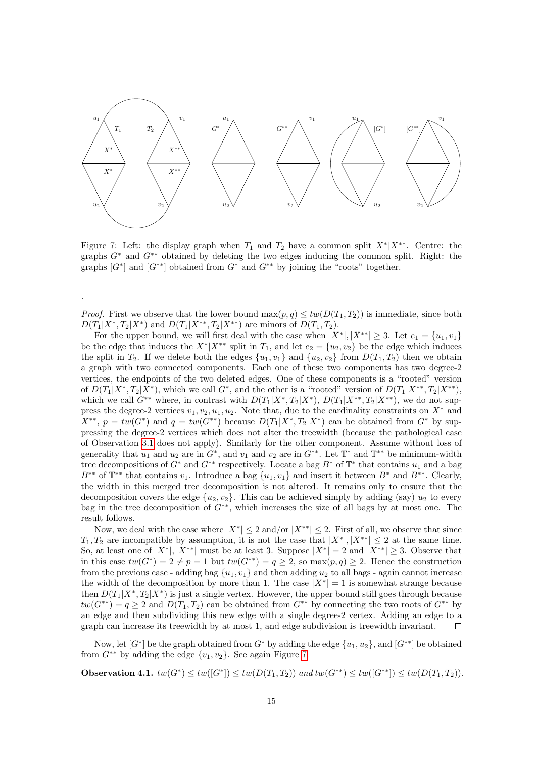

<span id="page-14-0"></span>Figure 7: Left: the display graph when  $T_1$  and  $T_2$  have a common split  $X^*|X^{**}$ . Centre: the graphs  $G^*$  and  $G^{**}$  obtained by deleting the two edges inducing the common split. Right: the graphs  $[G^*]$  and  $[G^{**}]$  obtained from  $G^*$  and  $G^{**}$  by joining the "roots" together.

*Proof.* First we observe that the lower bound  $\max(p,q) \leq tw(D(T_1,T_2))$  is immediate, since both  $D(T_1|X^*,T_2|X^*)$  and  $D(T_1|X^{**},T_2|X^{**})$  are minors of  $D(T_1,T_2)$ .

.

For the upper bound, we will first deal with the case when  $|X^*|, |X^{**}| \geq 3$ . Let  $e_1 = \{u_1, v_1\}$ be the edge that induces the  $X^*|X^{**}$  split in  $T_1$ , and let  $e_2 = \{u_2, v_2\}$  be the edge which induces the split in  $T_2$ . If we delete both the edges  $\{u_1, v_1\}$  and  $\{u_2, v_2\}$  from  $D(T_1, T_2)$  then we obtain a graph with two connected components. Each one of these two components has two degree-2 vertices, the endpoints of the two deleted edges. One of these components is a "rooted" version of  $D(T_1|X^*,T_2|X^*)$ , which we call  $G^*$ , and the other is a "rooted" version of  $D(T_1|X^{**},T_2|X^{**})$ , which we call  $G^{**}$  where, in contrast with  $D(T_1|X^*, T_2|X^*)$ ,  $D(T_1|X^{**}, T_2|X^{**})$ , we do not suppress the degree-2 vertices  $v_1, v_2, u_1, u_2$ . Note that, due to the cardinality constraints on  $X^*$  and  $X^{**}$ ,  $p = tw(G^*)$  and  $q = tw(G^{**})$  because  $D(T_1|X^*, T_2|X^*)$  can be obtained from  $G^*$  by suppressing the degree-2 vertices which does not alter the treewidth (because the pathological case of Observation [3.1](#page-5-0) does not apply). Similarly for the other component. Assume without loss of generality that  $u_1$  and  $u_2$  are in  $G^*$ , and  $v_1$  and  $v_2$  are in  $G^{**}$ . Let  $\mathbb{T}^*$  and  $\mathbb{T}^{**}$  be minimum-width tree decompositions of  $G^*$  and  $G^{**}$  respectively. Locate a bag  $B^*$  of  $\mathbb{T}^*$  that contains  $u_1$  and a bag  $B^{**}$  of  $\mathbb{T}^{**}$  that contains  $v_1$ . Introduce a bag  $\{u_1, v_1\}$  and insert it between  $B^*$  and  $B^{**}$ . Clearly, the width in this merged tree decomposition is not altered. It remains only to ensure that the decomposition covers the edge  $\{u_2, v_2\}$ . This can be achieved simply by adding (say)  $u_2$  to every bag in the tree decomposition of G∗∗, which increases the size of all bags by at most one. The result follows.

Now, we deal with the case where  $|X^*| \leq 2$  and/or  $|X^{**}| \leq 2$ . First of all, we observe that since  $T_1, T_2$  are incompatible by assumption, it is not the case that  $|X^*|, |X^{**}| \leq 2$  at the same time. So, at least one of  $|X^*|, |X^{**}|$  must be at least 3. Suppose  $|X^*| = 2$  and  $|X^{**}| \ge 3$ . Observe that in this case  $tw(G^*) = 2 \neq p = 1$  but  $tw(G^{**}) = q \geq 2$ , so  $max(p, q) \geq 2$ . Hence the construction from the previous case - adding bag  $\{u_1, v_1\}$  and then adding  $u_2$  to all bags - again cannot increase the width of the decomposition by more than 1. The case  $|X^*| = 1$  is somewhat strange because then  $D(T_1|X^*,T_2|X^*)$  is just a single vertex. However, the upper bound still goes through because  $tw(G^{**}) = q \geq 2$  and  $D(T_1, T_2)$  can be obtained from  $G^{**}$  by connecting the two roots of  $G^{**}$  by an edge and then subdividing this new edge with a single degree-2 vertex. Adding an edge to a graph can increase its treewidth by at most 1, and edge subdivision is treewidth invariant.  $\Box$ 

Now, let  $[G^*]$  be the graph obtained from  $G^*$  by adding the edge  $\{u_1, u_2\}$ , and  $[G^{**}]$  be obtained from  $G^{**}$  by adding the edge  $\{v_1, v_2\}$ . See again Figure [7.](#page-14-0)

<span id="page-14-1"></span>**Observation 4.1.**  $tw(G^*) \leq tw(G^*]) \leq tw(D(T_1, T_2))$  and  $tw(G^{**}) \leq tw(G^{**})) \leq tw(D(T_1, T_2))$ .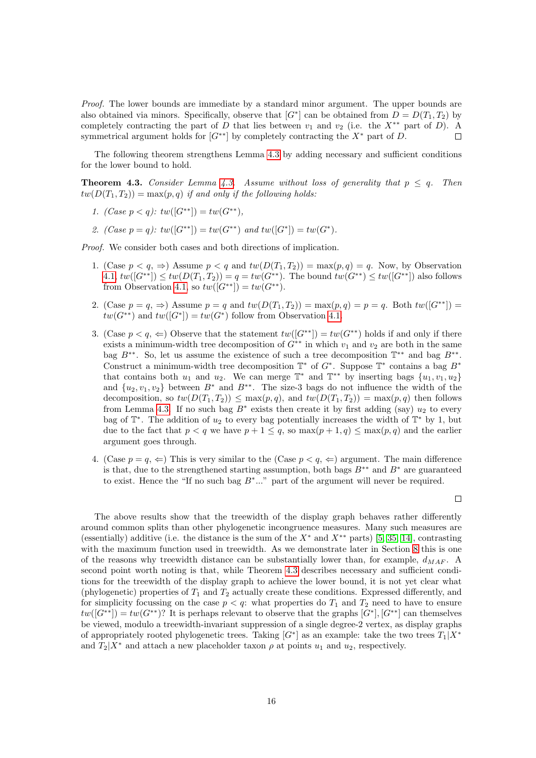Proof. The lower bounds are immediate by a standard minor argument. The upper bounds are also obtained via minors. Specifically, observe that  $[G^*]$  can be obtained from  $D = D(T_1, T_2)$  by completely contracting the part of D that lies between  $v_1$  and  $v_2$  (i.e. the  $X^{**}$  part of D). A symmetrical argument holds for  $[G^{**}]$  by completely contracting the  $X^*$  part of D.  $\Box$ 

The following theorem strengthens Lemma [4.3](#page-13-2) by adding necessary and sufficient conditions for the lower bound to hold.

<span id="page-15-0"></span>**Theorem [4.3.](#page-13-2)** Consider Lemma 4.3. Assume without loss of generality that  $p \leq q$ . Then  $tw(D(T_1, T_2)) = max(p, q)$  if and only if the following holds:

- 1. (Case  $p < q$ ):  $tw([G^{**}]) = tw(G^{**}),$
- 2.  $(Case \ p = q)$ :  $tw([G^{**}]) = tw(G^{**}) \ and \ tw([G^*]) = tw(G^*)$ .

Proof. We consider both cases and both directions of implication.

- 1. (Case  $p < q$ ,  $\Rightarrow$ ) Assume  $p < q$  and  $tw(D(T_1, T_2)) = max(p, q) = q$ . Now, by Observation [4.1,](#page-14-1)  $tw([G^{**}]) \le tw(D(T_1, T_2)) = q = tw(G^{**})$ . The bound  $tw(G^{**}) \le tw([G^{**}])$  also follows from Observation [4.1,](#page-14-1) so  $tw([G^{**}]) = tw(G^{**}).$
- 2. (Case  $p = q$ ,  $\Rightarrow$ ) Assume  $p = q$  and  $tw(D(T_1, T_2)) = \max(p, q) = p = q$ . Both  $tw([G^{**}]) =$  $tw(G^{**})$  and  $tw([G^*]) = tw(G^*)$  follow from Observation [4.1.](#page-14-1)
- 3. (Case  $p < q$ ,  $\Leftarrow$ ) Observe that the statement  $tw([G^{**}]) = tw(G^{**})$  holds if and only if there exists a minimum-width tree decomposition of  $G^{**}$  in which  $v_1$  and  $v_2$  are both in the same bag  $B^{**}$ . So, let us assume the existence of such a tree decomposition  $\mathbb{T}^{**}$  and bag  $B^{**}$ . Construct a minimum-width tree decomposition  $\mathbb{T}^*$  of  $G^*$ . Suppose  $\mathbb{T}^*$  contains a bag  $B^*$ that contains both  $u_1$  and  $u_2$ . We can merge  $\mathbb{T}^*$  and  $\mathbb{T}^{**}$  by inserting bags  $\{u_1, v_1, u_2\}$ and  $\{u_2, v_1, v_2\}$  between  $B^*$  and  $B^{**}$ . The size-3 bags do not influence the width of the decomposition, so  $tw(D(T_1, T_2)) \leq max(p, q)$ , and  $tw(D(T_1, T_2)) = max(p, q)$  then follows from Lemma [4.3.](#page-13-2) If no such bag  $B^*$  exists then create it by first adding (say)  $u_2$  to every bag of  $\mathbb{T}^*$ . The addition of  $u_2$  to every bag potentially increases the width of  $\mathbb{T}^*$  by 1, but due to the fact that  $p < q$  we have  $p + 1 \le q$ , so  $\max(p + 1, q) \le \max(p, q)$  and the earlier argument goes through.
- 4. (Case  $p = q, \Leftarrow$ ) This is very similar to the (Case  $p < q, \Leftarrow$ ) argument. The main difference is that, due to the strengthened starting assumption, both bags  $B**$  and  $B*$  are guaranteed to exist. Hence the "If no such bag  $B^*...$ " part of the argument will never be required.

 $\Box$ 

The above results show that the treewidth of the display graph behaves rather differently around common splits than other phylogenetic incongruence measures. Many such measures are (essentially) additive (i.e. the distance is the sum of the  $X^*$  and  $X^{**}$  parts) [\[5,](#page-23-3) [35,](#page-25-8) [14\]](#page-24-4), contrasting with the maximum function used in treewidth. As we demonstrate later in Section [8](#page-20-0) this is one of the reasons why treewidth distance can be substantially lower than, for example,  $d_{MAF}$ . A second point worth noting is that, while Theorem [4.3](#page-15-0) describes necessary and sufficient conditions for the treewidth of the display graph to achieve the lower bound, it is not yet clear what (phylogenetic) properties of  $T_1$  and  $T_2$  actually create these conditions. Expressed differently, and for simplicity focussing on the case  $p < q$ : what properties do  $T_1$  and  $T_2$  need to have to ensure  $tw([G^{**}]) = tw(G^{**})$ ? It is perhaps relevant to observe that the graphs  $[G^*]$ ,  $[G^{**}]$  can themselves be viewed, modulo a treewidth-invariant suppression of a single degree-2 vertex, as display graphs of appropriately rooted phylogenetic trees. Taking  $[G^*]$  as an example: take the two trees  $T_1|X^*$ and  $T_2|X^*$  and attach a new placeholder taxon  $\rho$  at points  $u_1$  and  $u_2$ , respectively.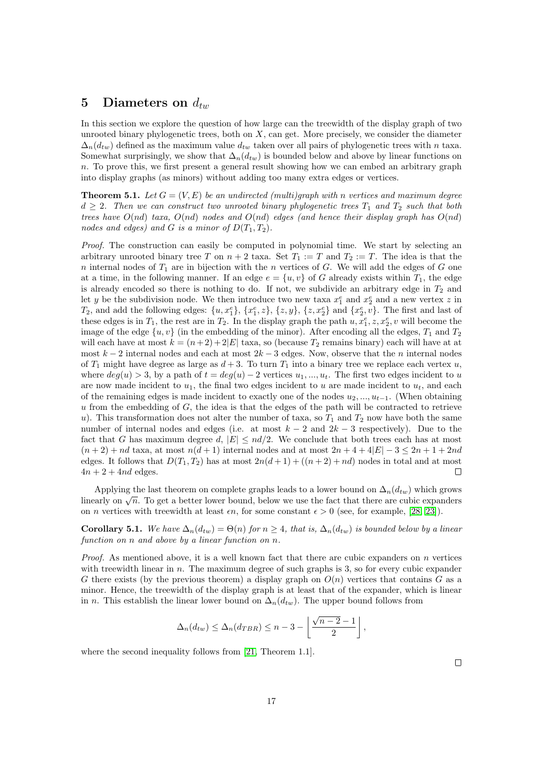### <span id="page-16-1"></span>5 Diameters on  $d_{tw}$

In this section we explore the question of how large can the treewidth of the display graph of two unrooted binary phylogenetic trees, both on  $X$ , can get. More precisely, we consider the diameter  $\Delta_n(d_{tw})$  defined as the maximum value  $d_{tw}$  taken over all pairs of phylogenetic trees with n taxa. Somewhat surprisingly, we show that  $\Delta_n(d_{tw})$  is bounded below and above by linear functions on  $n$ . To prove this, we first present a general result showing how we can embed an arbitrary graph into display graphs (as minors) without adding too many extra edges or vertices.

<span id="page-16-0"></span>**Theorem 5.1.** Let  $G = (V, E)$  be an undirected (multi)graph with n vertices and maximum degree  $d \geq 2$ . Then we can construct two unrooted binary phylogenetic trees  $T_1$  and  $T_2$  such that both trees have  $O(nd)$  taxa,  $O(nd)$  nodes and  $O(nd)$  edges (and hence their display graph has  $O(nd)$ nodes and edges) and G is a minor of  $D(T_1, T_2)$ .

Proof. The construction can easily be computed in polynomial time. We start by selecting an arbitrary unrooted binary tree T on  $n + 2$  taxa. Set  $T_1 := T$  and  $T_2 := T$ . The idea is that the n internal nodes of  $T_1$  are in bijection with the n vertices of G. We will add the edges of G one at a time, in the following manner. If an edge  $e = \{u, v\}$  of G already exists within  $T_1$ , the edge is already encoded so there is nothing to do. If not, we subdivide an arbitrary edge in  $T_2$  and let y be the subdivision node. We then introduce two new taxa  $x_1^e$  and  $x_2^e$  and a new vertex z in  $T_2$ , and add the following edges:  $\{u, x_1^e\}$ ,  $\{x_1^e, z\}$ ,  $\{z, y\}$ ,  $\{z, x_2^e\}$  and  $\{x_2^e, v\}$ . The first and last of these edges is in  $T_1$ , the rest are in  $T_2$ . In the display graph the path  $u, x_1^e, z, x_2^e, v$  will become the image of the edge  $\{u, v\}$  (in the embedding of the minor). After encoding all the edges,  $T_1$  and  $T_2$ will each have at most  $k = (n+2) + 2|E|$  taxa, so (because  $T_2$  remains binary) each will have at at most  $k-2$  internal nodes and each at most  $2k-3$  edges. Now, observe that the n internal nodes of  $T_1$  might have degree as large as  $d+3$ . To turn  $T_1$  into a binary tree we replace each vertex u, where  $deg(u) > 3$ , by a path of  $t = deg(u) - 2$  vertices  $u_1, ..., u_t$ . The first two edges incident to u are now made incident to  $u_1$ , the final two edges incident to u are made incident to  $u_t$ , and each of the remaining edges is made incident to exactly one of the nodes  $u_2, ..., u_{t-1}$ . (When obtaining  $u$  from the embedding of  $G$ , the idea is that the edges of the path will be contracted to retrieve u). This transformation does not alter the number of taxa, so  $T_1$  and  $T_2$  now have both the same number of internal nodes and edges (i.e. at most  $k - 2$  and  $2k - 3$  respectively). Due to the fact that G has maximum degree d,  $|E| \leq nd/2$ . We conclude that both trees each has at most  $(n+2)$  + nd taxa, at most  $n(d+1)$  internal nodes and at most  $2n+4+4|E|-3 \leq 2n+1+2nd$ edges. It follows that  $D(T_1, T_2)$  has at most  $2n(d+1) + ((n+2) + nd)$  nodes in total and at most  $4n + 2 + 4nd$  edges.  $\Box$ 

Applying the last theorem on complete graphs leads to a lower bound on  $\Delta_n(d_{tw})$  which grows linearly on  $\sqrt{n}$ . To get a better lower bound, below we use the fact that there are cubic expanders on *n* vertices with treewidth at least  $\epsilon n$ , for some constant  $\epsilon > 0$  (see, for example, [\[28,](#page-25-18) [23\]](#page-24-14)).

**Corollary 5.1.** We have  $\Delta_n(d_{tw}) = \Theta(n)$  for  $n \geq 4$ , that is,  $\Delta_n(d_{tw})$  is bounded below by a linear function on n and above by a linear function on n.

*Proof.* As mentioned above, it is a well known fact that there are cubic expanders on n vertices with treewidth linear in  $n$ . The maximum degree of such graphs is 3, so for every cubic expander G there exists (by the previous theorem) a display graph on  $O(n)$  vertices that contains G as a minor. Hence, the treewidth of the display graph is at least that of the expander, which is linear in n. This establish the linear lower bound on  $\Delta_n(d_{tw})$ . The upper bound follows from

$$
\Delta_n(d_{tw}) \leq \Delta_n(d_{TBR}) \leq n-3 - \left\lfloor \frac{\sqrt{n-2}-1}{2} \right\rfloor,
$$

where the second inequality follows from [\[21,](#page-24-15) Theorem 1.1].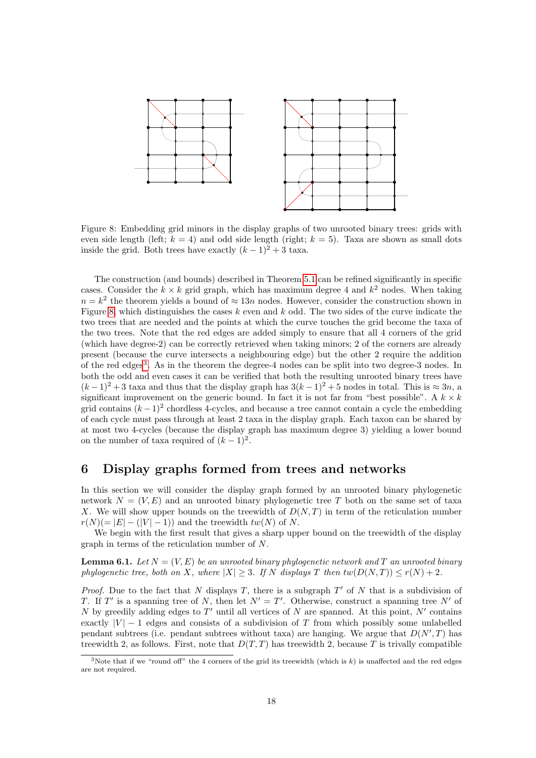

<span id="page-17-0"></span>Figure 8: Embedding grid minors in the display graphs of two unrooted binary trees: grids with even side length (left;  $k = 4$ ) and odd side length (right;  $k = 5$ ). Taxa are shown as small dots inside the grid. Both trees have exactly  $(k-1)^2 + 3$  taxa.

The construction (and bounds) described in Theorem [5.1](#page-16-0) can be refined significantly in specific cases. Consider the  $k \times k$  grid graph, which has maximum degree 4 and  $k^2$  nodes. When taking  $n = k<sup>2</sup>$  the theorem yields a bound of  $\approx 13n$  nodes. However, consider the construction shown in Figure [8,](#page-17-0) which distinguishes the cases  $k$  even and  $k$  odd. The two sides of the curve indicate the two trees that are needed and the points at which the curve touches the grid become the taxa of the two trees. Note that the red edges are added simply to ensure that all 4 corners of the grid (which have degree-2) can be correctly retrieved when taking minors; 2 of the corners are already present (because the curve intersects a neighbouring edge) but the other 2 require the addition of the red edges<sup>[3](#page-17-1)</sup>. As in the theorem the degree-4 nodes can be split into two degree-3 nodes. In both the odd and even cases it can be verified that both the resulting unrooted binary trees have  $(k-1)^2+3$  taxa and thus that the display graph has  $3(k-1)^2+5$  nodes in total. This is  $\approx 3n$ , a significant improvement on the generic bound. In fact it is not far from "best possible". A  $k \times k$ grid contains  $(k-1)^2$  chordless 4-cycles, and because a tree cannot contain a cycle the embedding of each cycle must pass through at least 2 taxa in the display graph. Each taxon can be shared by at most two 4-cycles (because the display graph has maximum degree 3) yielding a lower bound on the number of taxa required of  $(k-1)^2$ .

### <span id="page-17-2"></span>6 Display graphs formed from trees and networks

In this section we will consider the display graph formed by an unrooted binary phylogenetic network  $N = (V, E)$  and an unrooted binary phylogenetic tree T both on the same set of taxa X. We will show upper bounds on the treewidth of  $D(N,T)$  in term of the reticulation number  $r(N) (= |E| - (|V| - 1))$  and the treewidth  $tw(N)$  of N.

We begin with the first result that gives a sharp upper bound on the treewidth of the display graph in terms of the reticulation number of N.

<span id="page-17-3"></span>**Lemma 6.1.** Let  $N = (V, E)$  be an unrooted binary phylogenetic network and T an unrooted binary phylogenetic tree, both on X, where  $|X| \geq 3$ . If N displays T then  $tw(D(N,T)) \leq r(N) + 2$ .

*Proof.* Due to the fact that N displays T, there is a subgraph  $T'$  of N that is a subdivision of T. If T' is a spanning tree of N, then let  $N' = T'$ . Otherwise, construct a spanning tree N' of N by greedily adding edges to T' until all vertices of N are spanned. At this point,  $N'$  contains exactly  $|V| - 1$  edges and consists of a subdivision of T from which possibly some unlabelled pendant subtrees (i.e. pendant subtrees without taxa) are hanging. We argue that  $D(N',T)$  has treewidth 2, as follows. First, note that  $D(T, T)$  has treewidth 2, because T is trivally compatible

<span id="page-17-1"></span><sup>&</sup>lt;sup>3</sup>Note that if we "round off" the 4 corners of the grid its treewidth (which is  $k$ ) is unaffected and the red edges are not required.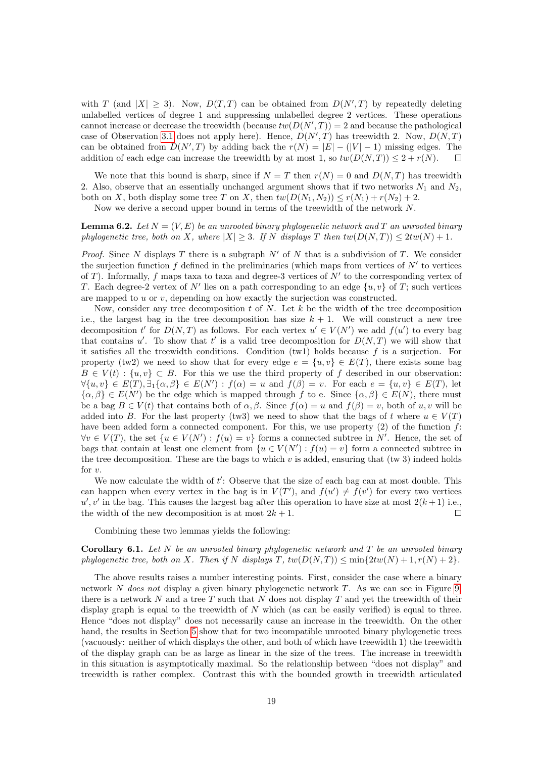with T (and  $|X| \geq 3$ ). Now,  $D(T,T)$  can be obtained from  $D(N',T)$  by repeatedly deleting unlabelled vertices of degree 1 and suppressing unlabelled degree 2 vertices. These operations cannot increase or decrease the treewidth (because  $tw(D(N',T)) = 2$  and because the pathological case of Observation [3.1](#page-5-0) does not apply here). Hence,  $D(N',T)$  has treewidth 2. Now,  $D(N,T)$ can be obtained from  $D(N',T)$  by adding back the  $r(N) = |E| - (|V| - 1)$  missing edges. The addition of each edge can increase the treewidth by at most 1, so  $tw(D(N,T)) \leq 2 + r(N)$ .

We note that this bound is sharp, since if  $N = T$  then  $r(N) = 0$  and  $D(N, T)$  has treewidth 2. Also, observe that an essentially unchanged argument shows that if two networks  $N_1$  and  $N_2$ . both on X, both display some tree T on X, then  $tw(D(N_1, N_2)) \le r(N_1) + r(N_2) + 2$ .

Now we derive a second upper bound in terms of the treewidth of the network N.

**Lemma 6.2.** Let  $N = (V, E)$  be an unrooted binary phylogenetic network and T an unrooted binary phylogenetic tree, both on X, where  $|X| \geq 3$ . If N displays T then  $tw(D(N,T)) \leq 2tw(N) + 1$ .

*Proof.* Since N displays T there is a subgraph  $N'$  of N that is a subdivision of T. We consider the surjection function  $f$  defined in the preliminaries (which maps from vertices of  $N'$  to vertices of T). Informally, f maps taxa to taxa and degree-3 vertices of  $N'$  to the corresponding vertex of T. Each degree-2 vertex of N' lies on a path corresponding to an edge  $\{u, v\}$  of T; such vertices are mapped to u or v, depending on how exactly the surjection was constructed.

Now, consider any tree decomposition  $t$  of  $N$ . Let  $k$  be the width of the tree decomposition i.e., the largest bag in the tree decomposition has size  $k + 1$ . We will construct a new tree decomposition t' for  $D(N,T)$  as follows. For each vertex  $u' \in V(N')$  we add  $f(u')$  to every bag that contains u'. To show that t' is a valid tree decomposition for  $D(N,T)$  we will show that it satisfies all the treewidth conditions. Condition  $(tw1)$  holds because f is a surjection. For property (tw2) we need to show that for every edge  $e = \{u, v\} \in E(T)$ , there exists some bag  $B \in V(t) : \{u, v\} \subset B$ . For this we use the third property of f described in our observation:  $\forall \{u, v\} \in E(T), \exists_1 \{\alpha, \beta\} \in E(N') : f(\alpha) = u \text{ and } f(\beta) = v.$  For each  $e = \{u, v\} \in E(T)$ , let  $\{\alpha,\beta\} \in E(N')$  be the edge which is mapped through f to e. Since  $\{\alpha,\beta\} \in E(N)$ , there must be a bag  $B \in V(t)$  that contains both of  $\alpha, \beta$ . Since  $f(\alpha) = u$  and  $f(\beta) = v$ , both of u, v will be added into B. For the last property (tw3) we need to show that the bags of t where  $u \in V(T)$ have been added form a connected component. For this, we use property  $(2)$  of the function f:  $\forall v \in V(T)$ , the set  $\{u \in V(N') : f(u) = v\}$  forms a connected subtree in N'. Hence, the set of bags that contain at least one element from  $\{u \in V(N'): f(u) = v\}$  form a connected subtree in the tree decomposition. These are the bags to which v is added, ensuring that (tw 3) indeed holds for  $v$ .

We now calculate the width of  $t'$ : Observe that the size of each bag can at most double. This can happen when every vertex in the bag is in  $V(T')$ , and  $f(u') \neq f(v')$  for every two vertices  $u', v'$  in the bag. This causes the largest bag after this operation to have size at most  $2(k+1)$  i.e., the width of the new decomposition is at most  $2k + 1$ .  $\Box$ 

Combining these two lemmas yields the following:

<span id="page-18-0"></span>**Corollary 6.1.** Let N be an unrooted binary phylogenetic network and T be an unrooted binary phylogenetic tree, both on X. Then if N displays  $T$ ,  $tw(D(N,T)) \leq \min\{2tw(N) + 1, r(N) + 2\}.$ 

The above results raises a number interesting points. First, consider the case where a binary network N does not display a given binary phylogenetic network  $T$ . As we can see in Figure [9,](#page-19-0) there is a network  $N$  and a tree  $T$  such that  $N$  does not display  $T$  and yet the treewidth of their display graph is equal to the treewidth of  $N$  which (as can be easily verified) is equal to three. Hence "does not display" does not necessarily cause an increase in the treewidth. On the other hand, the results in Section [5](#page-16-1) show that for two incompatible unrooted binary phylogenetic trees (vacuously: neither of which displays the other, and both of which have treewidth 1) the treewidth of the display graph can be as large as linear in the size of the trees. The increase in treewidth in this situation is asymptotically maximal. So the relationship between "does not display" and treewidth is rather complex. Contrast this with the bounded growth in treewidth articulated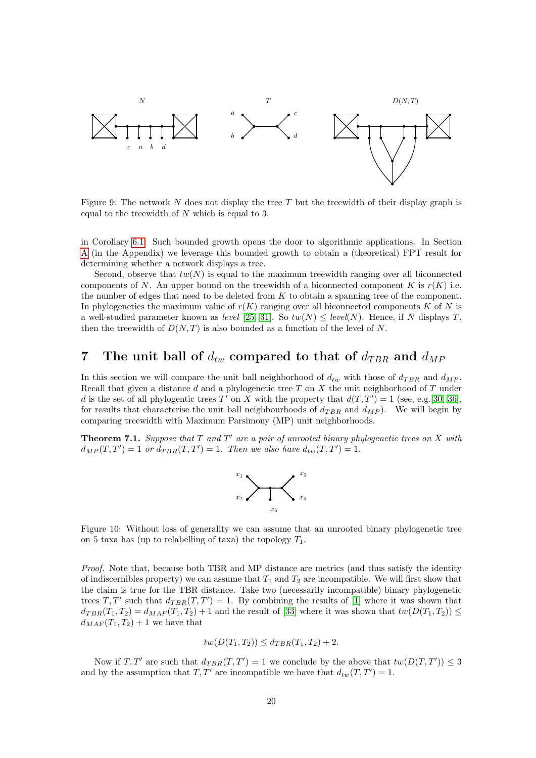

<span id="page-19-0"></span>Figure 9: The network  $N$  does not display the tree  $T$  but the treewidth of their display graph is equal to the treewidth of N which is equal to 3.

in Corollary [6.1.](#page-18-0) Such bounded growth opens the door to algorithmic applications. In Section [A](#page-26-0) (in the Appendix) we leverage this bounded growth to obtain a (theoretical) FPT result for determining whether a network displays a tree.

Second, observe that  $tw(N)$  is equal to the maximum treewidth ranging over all biconnected components of N. An upper bound on the treewidth of a biconnected component K is  $r(K)$  i.e. the number of edges that need to be deleted from  $K$  to obtain a spanning tree of the component. In phylogenetics the maximum value of  $r(K)$  ranging over all biconnected components K of N is a well-studied parameter known as level [\[25,](#page-24-9) [31\]](#page-25-1). So  $tw(N) \leq level(N)$ . Hence, if N displays T, then the treewidth of  $D(N,T)$  is also bounded as a function of the level of N.

### 7 The unit ball of  $d_{tw}$  compared to that of  $d_{TBR}$  and  $d_{MP}$

In this section we will compare the unit ball neighborhood of  $d_{tw}$  with those of  $d_{TBR}$  and  $d_{MP}$ . Recall that given a distance d and a phylogenetic tree  $T$  on  $X$  the unit neighborhood of  $T$  under d is the set of all phylogentic trees T' on X with the property that  $d(T, T') = 1$  (see, e.g. [\[30,](#page-25-19) [36\]](#page-25-9), for results that characterise the unit ball neighbourhoods of  $d_{TBR}$  and  $d_{MP}$ ). We will begin by comparing treewidth with Maximum Parsimony (MP) unit neighborhoods.

**Theorem 7.1.** Suppose that  $T$  and  $T'$  are a pair of unrooted binary phylogenetic trees on  $X$  with  $d_{MP}(T, T') = 1$  or  $d_{TBR}(T, T') = 1$ . Then we also have  $d_{tw}(T, T') = 1$ .



<span id="page-19-1"></span>Figure 10: Without loss of generality we can assume that an unrooted binary phylogenetic tree on 5 taxa has (up to relabelling of taxa) the topology  $T_1$ .

Proof. Note that, because both TBR and MP distance are metrics (and thus satisfy the identity of indiscernibles property) we can assume that  $T_1$  and  $T_2$  are incompatible. We will first show that the claim is true for the TBR distance. Take two (necessarily incompatible) binary phylogenetic trees T, T' such that  $d_{TBR}(T, T') = 1$ . By combining the results of [\[1\]](#page-23-0) where it was shown that  $d_{TBR}(T_1, T_2) = d_{MAF}(T_1, T_2) + 1$  and the result of [\[33\]](#page-25-7) where it was shown that  $tw(D(T_1, T_2)) \leq$  $d_{MAF}(T_1, T_2) + 1$  we have that

$$
tw(D(T_1, T_2)) \leq d_{TBR}(T_1, T_2) + 2.
$$

Now if  $T, T'$  are such that  $d_{TBR}(T, T') = 1$  we conclude by the above that  $tw(D(T, T')) \leq 3$ and by the assumption that  $T, T'$  are incompatible we have that  $d_{tw}(T, T') = 1$ .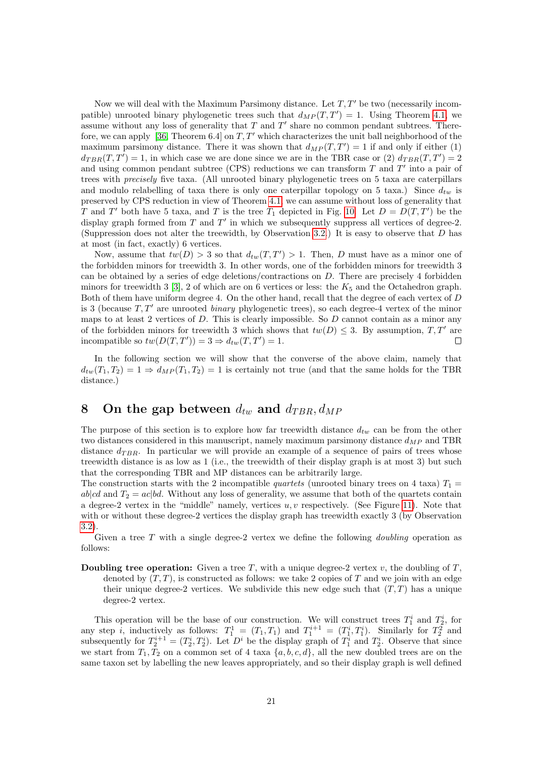Now we will deal with the Maximum Parsimony distance. Let  $T, T'$  be two (necessarily incompatible) unrooted binary phylogenetic trees such that  $d_{MP}(T, T') = 1$ . Using Theorem [4.1,](#page-7-0) we assume without any loss of generality that  $T$  and  $T'$  share no common pendant subtrees. There-fore, we can apply [\[36,](#page-25-9) Theorem 6.4] on  $T, T'$  which characterizes the unit ball neighborhood of the maximum parsimony distance. There it was shown that  $d_{MP}(T, T') = 1$  if and only if either (1)  $d_{TBR}(T,T') = 1$ , in which case we are done since we are in the TBR case or (2)  $d_{TBR}(T,T') = 2$ and using common pendant subtree (CPS) reductions we can transform  $T$  and  $T'$  into a pair of trees with precisely five taxa. (All unrooted binary phylogenetic trees on 5 taxa are caterpillars and modulo relabelling of taxa there is only one caterpillar topology on 5 taxa.) Since  $d_{tw}$  is preserved by CPS reduction in view of Theorem [4.1,](#page-7-0) we can assume without loss of generality that T and T' both have 5 taxa, and T is the tree  $T_1$  depicted in Fig. [10.](#page-19-1) Let  $D = D(T,T')$  be the display graph formed from  $T$  and  $T'$  in which we subsequently suppress all vertices of degree-2. (Suppression does not alter the treewidth, by Observation [3.2.](#page-6-0)) It is easy to observe that  $D$  has at most (in fact, exactly) 6 vertices.

Now, assume that  $tw(D) > 3$  so that  $d_{tw}(T, T') > 1$ . Then, D must have as a minor one of the forbidden minors for treewidth 3. In other words, one of the forbidden minors for treewidth 3 can be obtained by a series of edge deletions/contractions on D. There are precisely 4 forbidden minors for treewidth 3 [\[3\]](#page-23-7), 2 of which are on 6 vertices or less: the  $K_5$  and the Octahedron graph. Both of them have uniform degree 4. On the other hand, recall that the degree of each vertex of D is 3 (because  $T, T'$  are unrooted *binary* phylogenetic trees), so each degree-4 vertex of the minor maps to at least 2 vertices of  $D$ . This is clearly impossible. So  $D$  cannot contain as a minor any of the forbidden minors for treewidth 3 which shows that  $tw(D) \leq 3$ . By assumption,  $T, T'$  are incompatible so  $tw(D(T, T')) = 3 \Rightarrow d_{tr}(T, T') = 1$ . incompatible so  $tw(D(T, T')) = 3 \Rightarrow d_{tw}(T, T') = 1.$ 

In the following section we will show that the converse of the above claim, namely that  $d_{tw}(T_1, T_2) = 1 \Rightarrow d_{MP}(T_1, T_2) = 1$  is certainly not true (and that the same holds for the TBR distance.)

# <span id="page-20-0"></span>8 On the gap between  $d_{tw}$  and  $d_{TBR}$ ,  $d_{MP}$

The purpose of this section is to explore how far treewidth distance  $d_{tw}$  can be from the other two distances considered in this manuscript, namely maximum parsimony distance  $d_{MP}$  and TBR distance  $d_{TBR}$ . In particular we will provide an example of a sequence of pairs of trees whose treewidth distance is as low as 1 (i.e., the treewidth of their display graph is at most 3) but such that the corresponding TBR and MP distances can be arbitrarily large.

The construction starts with the 2 incompatible *quartets* (unrooted binary trees on 4 taxa)  $T_1 =$  $ab|cd$  and  $T_2 = ac|bd$ . Without any loss of generality, we assume that both of the quartets contain a degree-2 vertex in the "middle" namely, vertices  $u, v$  respectively. (See Figure [11\)](#page-21-0). Note that with or without these degree-2 vertices the display graph has treewidth exactly 3 (by Observation [3.2\)](#page-6-0).

Given a tree  $T$  with a single degree-2 vertex we define the following *doubling* operation as follows:

**Doubling tree operation:** Given a tree T, with a unique degree-2 vertex v, the doubling of  $T$ , denoted by  $(T, T)$ , is constructed as follows: we take 2 copies of T and we join with an edge their unique degree-2 vertices. We subdivide this new edge such that  $(T, T)$  has a unique degree-2 vertex.

This operation will be the base of our construction. We will construct trees  $T_1^i$  and  $T_2^i$ , for any step *i*, inductively as follows:  $T_1^1 = (T_1, T_1)$  and  $T_1^{i+1} = (T_1^i, T_1^i)$ . Similarly for  $T_2^2$  and subsequently for  $T_2^{i+1} = (T_2^i, T_2^i)$ . Let  $D^i$  be the display graph of  $T_1^i$  and  $T_2^i$ . Observe that since we start from  $T_1, T_2$  on a common set of 4 taxa  $\{a, b, c, d\}$ , all the new doubled trees are on the same taxon set by labelling the new leaves appropriately, and so their display graph is well defined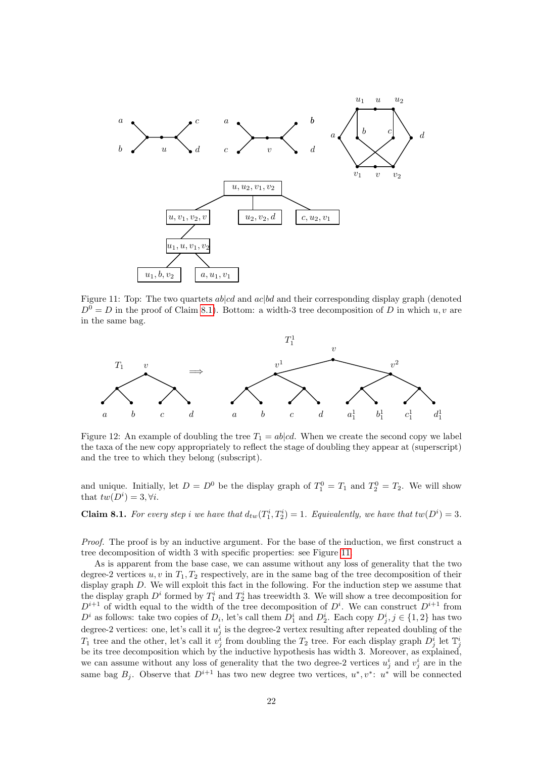

<span id="page-21-0"></span>Figure 11: Top: The two quartets  $ab|cd$  and  $ac|bd$  and their corresponding display graph (denoted  $D^0 = D$  in the proof of Claim [8.1\)](#page-21-1). Bottom: a width-3 tree decomposition of D in which u, v are in the same bag.



Figure 12: An example of doubling the tree  $T_1 = ab|cd$ . When we create the second copy we label the taxa of the new copy appropriately to reflect the stage of doubling they appear at (superscript) and the tree to which they belong (subscript).

and unique. Initially, let  $D = D^0$  be the display graph of  $T_1^0 = T_1$  and  $T_2^0 = T_2$ . We will show that  $tw(D^i) = 3, \forall i$ .

<span id="page-21-1"></span>**Claim 8.1.** For every step i we have that  $d_{tw}(T_1^i, T_2^i) = 1$ . Equivalently, we have that  $tw(D^i) = 3$ .

Proof. The proof is by an inductive argument. For the base of the induction, we first construct a tree decomposition of width 3 with specific properties: see Figure [11.](#page-21-0)

As is apparent from the base case, we can assume without any loss of generality that the two degree-2 vertices  $u, v$  in  $T_1, T_2$  respectively, are in the same bag of the tree decomposition of their display graph D. We will exploit this fact in the following. For the induction step we assume that the display graph  $D^i$  formed by  $T_1^i$  and  $T_2^i$  has treewidth 3. We will show a tree decomposition for  $D^{i+1}$  of width equal to the width of the tree decomposition of  $D^i$ . We can construct  $D^{i+1}$  from  $D^i$  as follows: take two copies of  $D_i$ , let's call them  $D_1^i$  and  $D_2^i$ . Each copy  $D_j^i$ ,  $j \in \{1,2\}$  has two degree-2 vertices: one, let's call it  $u_j^i$  is the degree-2 vertex resulting after repeated doubling of the  $T_1$  tree and the other, let's call it  $v_j^i$  from doubling the  $T_2$  tree. For each display graph  $D_j^i$  let  $\mathbb{T}_j^i$ be its tree decomposition which by the inductive hypothesis has width 3. Moreover, as explained, we can assume without any loss of generality that the two degree-2 vertices  $u_j^i$  and  $v_j^i$  are in the same bag  $B_j$ . Observe that  $D^{i+1}$  has two new degree two vertices,  $u^*, v^*: u^*$  will be connected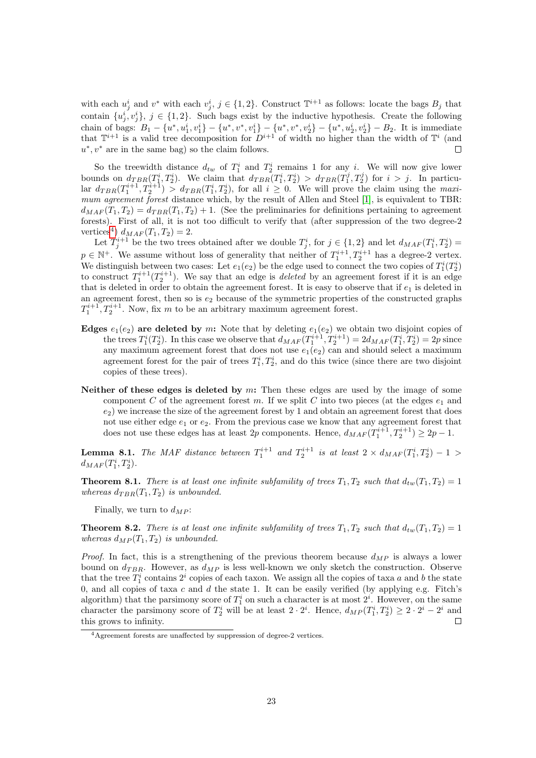with each  $u_j^i$  and  $v^*$  with each  $v_j^i$ ,  $j \in \{1, 2\}$ . Construct  $\mathbb{T}^{i+1}$  as follows: locate the bags  $B_j$  that contain  $\{u_j^i, v_j^i\}, j \in \{1, 2\}$ . Such bags exist by the inductive hypothesis. Create the following chain of bags:  $B_1 - \{u^*, u_1^i, v_1^i\} - \{u^*, v^*, v_1^i\} - \{u^*, v^*, v_2^i\} - \{u^*, u_2^i, v_2^i\} - B_2$ . It is immediate that  $\mathbb{T}^{i+1}$  is a valid tree decomposition for  $D^{i+1}$  of width no higher than the width of  $\mathbb{T}^i$  (and  $u^*, v^*$  are in the same bag) so the claim follows.  $\Box$ 

So the treewidth distance  $d_{tw}$  of  $T_1^i$  and  $T_2^i$  remains 1 for any i. We will now give lower bounds on  $d_{TBR}(T_1^i, T_2^i)$ . We claim that  $d_{TBR}(T_1^i, T_2^i) > d_{TBR}(T_1^j, T_2^j)$  for  $i > j$ . In particular  $d_{TBR}(T_1^{i+1}, T_2^{i+1}) > d_{TBR}(T_1^i, T_2^i)$ , for all  $i \geq 0$ . We will prove the claim using the maxi-mum agreement forest distance which, by the result of Allen and Steel [\[1\]](#page-23-0), is equivalent to TBR:  $d_{MAF}(T_1, T_2) = d_{TBR}(T_1, T_2) + 1$ . (See the preliminaries for definitions pertaining to agreement forests). First of all, it is not too difficult to verify that (after suppression of the two degree-2 vertices<sup>[4](#page-22-0)</sup>)  $d_{MAF}(T_1, T_2) = 2$ .

Let  $T_j^{i+1}$  be the two trees obtained after we double  $T_j^i$ , for  $j \in \{1,2\}$  and let  $d_{MAF}(T_1^i, T_2^i)$  $p \in \mathbb{N}^+$ . We assume without loss of generality that neither of  $T_1^{i+1}, T_2^{i+1}$  has a degree-2 vertex. We distinguish between two cases: Let  $e_1(e_2)$  be the edge used to connect the two copies of  $T_1^i(T_2^i)$ to construct  $T_1^{i+1}(T_2^{i+1})$ . We say that an edge is *deleted* by an agreement forest if it is an edge that is deleted in order to obtain the agreement forest. It is easy to observe that if  $e_1$  is deleted in an agreement forest, then so is  $e_2$  because of the symmetric properties of the constructed graphs  $T_1^{i+1}, T_2^{i+1}$ . Now, fix m to be an arbitrary maximum agreement forest.

- Edges  $e_1(e_2)$  are deleted by m: Note that by deleting  $e_1(e_2)$  we obtain two disjoint copies of the trees  $T_1^i(T_2^i)$ . In this case we observe that  $d_{MAF}(T_1^{i+1}, T_2^{i+1}) = 2d_{MAF}(T_1^i, T_2^i) = 2p$  since any maximum agreement forest that does not use  $e_1(e_2)$  can and should select a maximum agreement forest for the pair of trees  $T_1^i, T_2^i$ , and do this twice (since there are two disjoint copies of these trees).
- Neither of these edges is deleted by  $m$ : Then these edges are used by the image of some component C of the agreement forest m. If we split C into two pieces (at the edges  $e_1$  and  $(e_2)$  we increase the size of the agreement forest by 1 and obtain an agreement forest that does not use either edge  $e_1$  or  $e_2$ . From the previous case we know that any agreement forest that does not use these edges has at least 2p components. Hence,  $d_{MAF}(T_1^{i+1}, T_2^{i+1}) \ge 2p - 1$ .

**Lemma 8.1.** The MAF distance between  $T_1^{i+1}$  and  $T_2^{i+1}$  is at least  $2 \times d_{MAF}(T_1^i, T_2^i) - 1 >$  $d_{MAF}(T_1^i, T_2^i).$ 

**Theorem 8.1.** There is at least one infinite subfamility of trees  $T_1, T_2$  such that  $d_{tw}(T_1, T_2) = 1$ whereas  $d_{TBR}(T_1, T_2)$  is unbounded.

Finally, we turn to  $d_{MP}$ :

**Theorem 8.2.** There is at least one infinite subfamility of trees  $T_1, T_2$  such that  $d_{tw}(T_1, T_2) = 1$ whereas  $d_{MP}(T_1, T_2)$  is unbounded.

*Proof.* In fact, this is a strengthening of the previous theorem because  $d_{MP}$  is always a lower bound on  $d_{TBR}$ . However, as  $d_{MP}$  is less well-known we only sketch the construction. Observe that the tree  $T_1^i$  contains  $2^i$  copies of each taxon. We assign all the copies of taxa a and b the state 0, and all copies of taxa c and d the state 1. It can be easily verified (by applying e.g. Fitch's algorithm) that the parsimony score of  $T_1^i$  on such a character is at most  $2^i$ . However, on the same character the parsimony score of  $T_2^i$  will be at least  $2 \cdot 2^i$ . Hence,  $d_{MP}(T_1^i, T_2^i) \geq 2 \cdot 2^i - 2^i$  and  $\Box$ this grows to infinity.

<span id="page-22-0"></span><sup>4</sup>Agreement forests are unaffected by suppression of degree-2 vertices.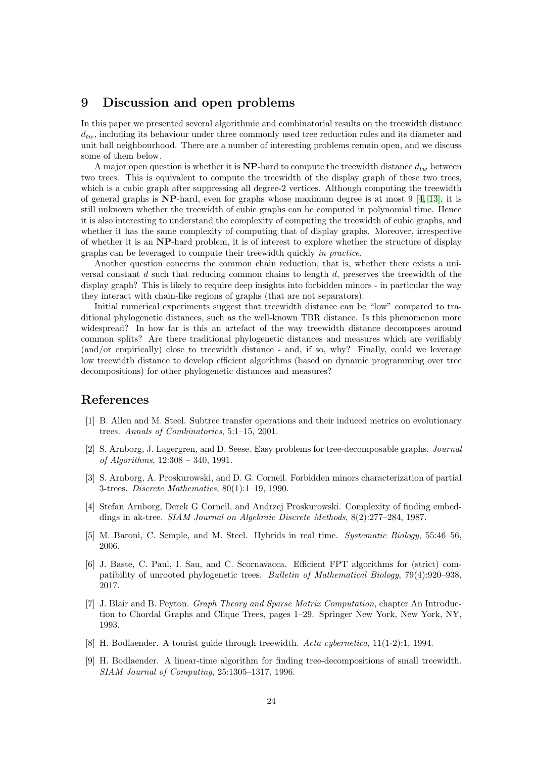### 9 Discussion and open problems

In this paper we presented several algorithmic and combinatorial results on the treewidth distance  $d_{tw}$ , including its behaviour under three commonly used tree reduction rules and its diameter and unit ball neighbourhood. There are a number of interesting problems remain open, and we discuss some of them below.

A major open question is whether it is  $NP$ -hard to compute the treewidth distance  $d_{tw}$  between two trees. This is equivalent to compute the treewidth of the display graph of these two trees, which is a cubic graph after suppressing all degree-2 vertices. Although computing the treewidth of general graphs is  $NP$ -hard, even for graphs whose maximum degree is at most 9 [\[4,](#page-23-8) [13\]](#page-24-16), it is still unknown whether the treewidth of cubic graphs can be computed in polynomial time. Hence it is also interesting to understand the complexity of computing the treewidth of cubic graphs, and whether it has the same complexity of computing that of display graphs. Moreover, irrespective of whether it is an NP-hard problem, it is of interest to explore whether the structure of display graphs can be leveraged to compute their treewidth quickly in practice.

Another question concerns the common chain reduction, that is, whether there exists a universal constant  $d$  such that reducing common chains to length  $d$ , preserves the treewidth of the display graph? This is likely to require deep insights into forbidden minors - in particular the way they interact with chain-like regions of graphs (that are not separators).

Initial numerical experiments suggest that treewidth distance can be "low" compared to traditional phylogenetic distances, such as the well-known TBR distance. Is this phenomenon more widespread? In how far is this an artefact of the way treewidth distance decomposes around common splits? Are there traditional phylogenetic distances and measures which are verifiably (and/or empirically) close to treewidth distance - and, if so, why? Finally, could we leverage low treewidth distance to develop efficient algorithms (based on dynamic programming over tree decompositions) for other phylogenetic distances and measures?

### References

- <span id="page-23-0"></span>[1] B. Allen and M. Steel. Subtree transfer operations and their induced metrics on evolutionary trees. Annals of Combinatorics, 5:1–15, 2001.
- <span id="page-23-4"></span>[2] S. Arnborg, J. Lagergren, and D. Seese. Easy problems for tree-decomposable graphs. Journal of Algorithms, 12:308 – 340, 1991.
- <span id="page-23-7"></span>[3] S. Arnborg, A. Proskurowski, and D. G. Corneil. Forbidden minors characterization of partial 3-trees. Discrete Mathematics, 80(1):1–19, 1990.
- <span id="page-23-8"></span>[4] Stefan Arnborg, Derek G Corneil, and Andrzej Proskurowski. Complexity of finding embeddings in ak-tree. SIAM Journal on Algebraic Discrete Methods, 8(2):277–284, 1987.
- <span id="page-23-3"></span>[5] M. Baroni, C. Semple, and M. Steel. Hybrids in real time. Systematic Biology, 55:46–56, 2006.
- <span id="page-23-2"></span>[6] J. Baste, C. Paul, I. Sau, and C. Scornavacca. Efficient FPT algorithms for (strict) compatibility of unrooted phylogenetic trees. Bulletin of Mathematical Biology, 79(4):920–938, 2017.
- <span id="page-23-5"></span>[7] J. Blair and B. Peyton. Graph Theory and Sparse Matrix Computation, chapter An Introduction to Chordal Graphs and Clique Trees, pages 1–29. Springer New York, New York, NY, 1993.
- <span id="page-23-1"></span>[8] H. Bodlaender. A tourist guide through treewidth. Acta cybernetica, 11(1-2):1, 1994.
- <span id="page-23-6"></span>[9] H. Bodlaender. A linear-time algorithm for finding tree-decompositions of small treewidth. SIAM Journal of Computing, 25:1305–1317, 1996.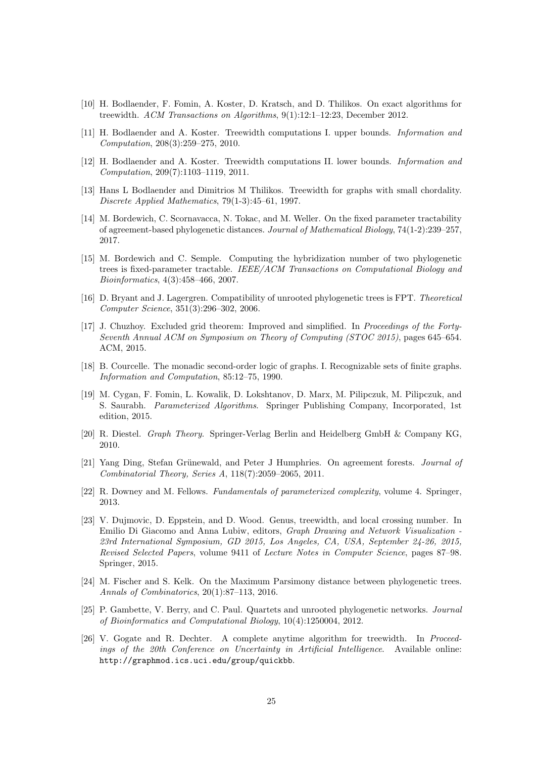- <span id="page-24-12"></span>[10] H. Bodlaender, F. Fomin, A. Koster, D. Kratsch, and D. Thilikos. On exact algorithms for treewidth. ACM Transactions on Algorithms, 9(1):12:1–12:23, December 2012.
- <span id="page-24-0"></span>[11] H. Bodlaender and A. Koster. Treewidth computations I. upper bounds. Information and Computation, 208(3):259–275, 2010.
- <span id="page-24-1"></span>[12] H. Bodlaender and A. Koster. Treewidth computations II. lower bounds. Information and Computation, 209(7):1103–1119, 2011.
- <span id="page-24-16"></span>[13] Hans L Bodlaender and Dimitrios M Thilikos. Treewidth for graphs with small chordality. Discrete Applied Mathematics, 79(1-3):45–61, 1997.
- <span id="page-24-4"></span>[14] M. Bordewich, C. Scornavacca, N. Tokac, and M. Weller. On the fixed parameter tractability of agreement-based phylogenetic distances. Journal of Mathematical Biology, 74(1-2):239–257, 2017.
- <span id="page-24-6"></span>[15] M. Bordewich and C. Semple. Computing the hybridization number of two phylogenetic trees is fixed-parameter tractable. IEEE/ACM Transactions on Computational Biology and Bioinformatics, 4(3):458–466, 2007.
- <span id="page-24-3"></span>[16] D. Bryant and J. Lagergren. Compatibility of unrooted phylogenetic trees is FPT. Theoretical Computer Science, 351(3):296–302, 2006.
- <span id="page-24-8"></span>[17] J. Chuzhoy. Excluded grid theorem: Improved and simplified. In Proceedings of the Forty-Seventh Annual ACM on Symposium on Theory of Computing (STOC 2015), pages 645–654. ACM, 2015.
- <span id="page-24-10"></span>[18] B. Courcelle. The monadic second-order logic of graphs. I. Recognizable sets of finite graphs. Information and Computation, 85:12–75, 1990.
- <span id="page-24-2"></span>[19] M. Cygan, F. Fomin, L. Kowalik, D. Lokshtanov, D. Marx, M. Pilipczuk, M. Pilipczuk, and S. Saurabh. Parameterized Algorithms. Springer Publishing Company, Incorporated, 1st edition, 2015.
- <span id="page-24-7"></span>[20] R. Diestel. Graph Theory. Springer-Verlag Berlin and Heidelberg GmbH & Company KG, 2010.
- <span id="page-24-15"></span>[21] Yang Ding, Stefan Grünewald, and Peter J Humphries. On agreement forests. Journal of Combinatorial Theory, Series A, 118(7):2059–2065, 2011.
- <span id="page-24-11"></span>[22] R. Downey and M. Fellows. Fundamentals of parameterized complexity, volume 4. Springer, 2013.
- <span id="page-24-14"></span>[23] V. Dujmovic, D. Eppstein, and D. Wood. Genus, treewidth, and local crossing number. In Emilio Di Giacomo and Anna Lubiw, editors, Graph Drawing and Network Visualization - 23rd International Symposium, GD 2015, Los Angeles, CA, USA, September 24-26, 2015, Revised Selected Papers, volume 9411 of Lecture Notes in Computer Science, pages 87–98. Springer, 2015.
- <span id="page-24-5"></span>[24] M. Fischer and S. Kelk. On the Maximum Parsimony distance between phylogenetic trees. Annals of Combinatorics, 20(1):87–113, 2016.
- <span id="page-24-9"></span>[25] P. Gambette, V. Berry, and C. Paul. Quartets and unrooted phylogenetic networks. Journal of Bioinformatics and Computational Biology, 10(4):1250004, 2012.
- <span id="page-24-13"></span>[26] V. Gogate and R. Dechter. A complete anytime algorithm for treewidth. In Proceedings of the 20th Conference on Uncertainty in Artificial Intelligence. Available online: http://graphmod.ics.uci.edu/group/quickbb.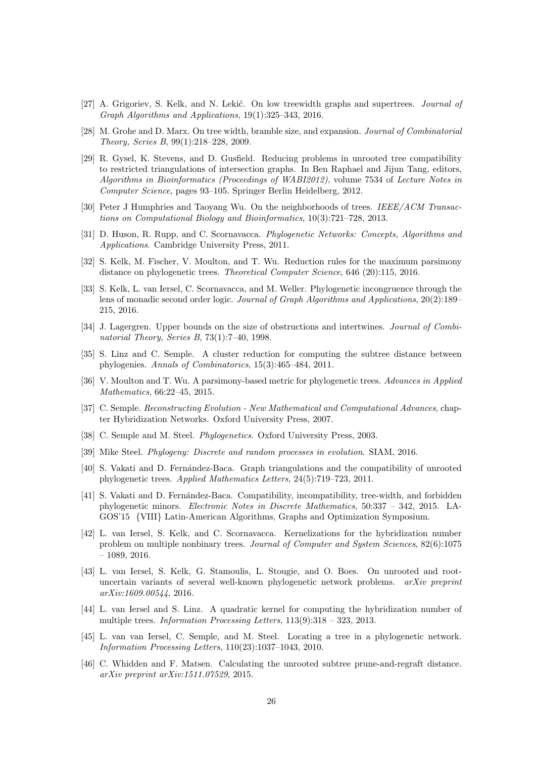- <span id="page-25-5"></span>[27] A. Grigoriev, S. Kelk, and N. Lekić. On low treewidth graphs and supertrees. *Journal of* Graph Algorithms and Applications, 19(1):325–343, 2016.
- <span id="page-25-18"></span>[28] M. Grohe and D. Marx. On tree width, bramble size, and expansion. Journal of Combinatorial Theory, Series B, 99(1):218–228, 2009.
- <span id="page-25-3"></span>[29] R. Gysel, K. Stevens, and D. Gusfield. Reducing problems in unrooted tree compatibility to restricted triangulations of intersection graphs. In Ben Raphael and Jijun Tang, editors, Algorithms in Bioinformatics (Proceedings of WABI2012), volume 7534 of Lecture Notes in Computer Science, pages 93–105. Springer Berlin Heidelberg, 2012.
- <span id="page-25-19"></span>[30] Peter J Humphries and Taoyang Wu. On the neighborhoods of trees. IEEE/ACM Transactions on Computational Biology and Bioinformatics, 10(3):721–728, 2013.
- <span id="page-25-1"></span>[31] D. Huson, R. Rupp, and C. Scornavacca. Phylogenetic Networks: Concepts, Algorithms and Applications. Cambridge University Press, 2011.
- <span id="page-25-6"></span>[32] S. Kelk, M. Fischer, V. Moulton, and T. Wu. Reduction rules for the maximum parsimony distance on phylogenetic trees. Theoretical Computer Science, 646 (20):115, 2016.
- <span id="page-25-7"></span>[33] S. Kelk, L. van Iersel, C. Scornavacca, and M. Weller. Phylogenetic incongruence through the lens of monadic second order logic. Journal of Graph Algorithms and Applications, 20(2):189– 215, 2016.
- <span id="page-25-17"></span>[34] J. Lagergren. Upper bounds on the size of obstructions and intertwines. *Journal of Combi*natorial Theory, Series B, 73(1):7–40, 1998.
- <span id="page-25-8"></span>[35] S. Linz and C. Semple. A cluster reduction for computing the subtree distance between phylogenies. Annals of Combinatorics, 15(3):465–484, 2011.
- <span id="page-25-9"></span>[36] V. Moulton and T. Wu. A parsimony-based metric for phylogenetic trees. Advances in Applied Mathematics, 66:22–45, 2015.
- <span id="page-25-16"></span>[37] C. Semple. Reconstructing Evolution - New Mathematical and Computational Advances, chapter Hybridization Networks. Oxford University Press, 2007.
- <span id="page-25-0"></span>[38] C. Semple and M. Steel. *Phylogenetics*. Oxford University Press, 2003.
- <span id="page-25-15"></span>[39] Mike Steel. Phylogeny: Discrete and random processes in evolution. SIAM, 2016.
- <span id="page-25-2"></span>[40] S. Vakati and D. Fernández-Baca. Graph triangulations and the compatibility of unrooted phylogenetic trees. Applied Mathematics Letters, 24(5):719–723, 2011.
- <span id="page-25-4"></span>[41] S. Vakati and D. Fernández-Baca. Compatibility, incompatibility, tree-width, and forbidden phylogenetic minors. Electronic Notes in Discrete Mathematics, 50:337 – 342, 2015. LA-GOS'15 {VIII} Latin-American Algorithms, Graphs and Optimization Symposium.
- <span id="page-25-12"></span>[42] L. van Iersel, S. Kelk, and C. Scornavacca. Kernelizations for the hybridization number problem on multiple nonbinary trees. Journal of Computer and System Sciences, 82(6):1075  $-1089, 2016.$
- <span id="page-25-13"></span>[43] L. van Iersel, S. Kelk, G. Stamoulis, L. Stougie, and O. Boes. On unrooted and rootuncertain variants of several well-known phylogenetic network problems.  $arXiv$  preprint arXiv:1609.00544, 2016.
- <span id="page-25-11"></span>[44] L. van Iersel and S. Linz. A quadratic kernel for computing the hybridization number of multiple trees. *Information Processing Letters*,  $113(9):318 - 323$ , 2013.
- <span id="page-25-14"></span>[45] L. van van Iersel, C. Semple, and M. Steel. Locating a tree in a phylogenetic network. Information Processing Letters, 110(23):1037–1043, 2010.
- <span id="page-25-10"></span>[46] C. Whidden and F. Matsen. Calculating the unrooted subtree prune-and-regraft distance. arXiv preprint arXiv:1511.07529, 2015.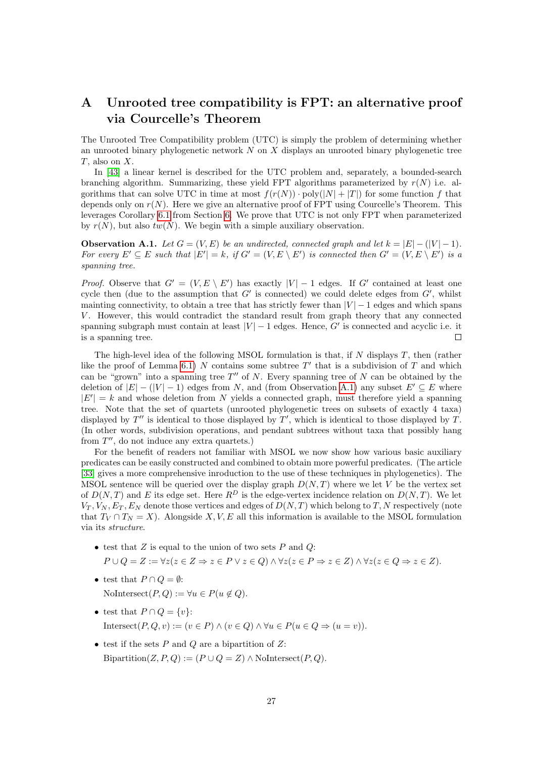# <span id="page-26-0"></span>A Unrooted tree compatibility is FPT: an alternative proof via Courcelle's Theorem

The Unrooted Tree Compatibility problem (UTC) is simply the problem of determining whether an unrooted binary phylogenetic network  $N$  on  $X$  displays an unrooted binary phylogenetic tree T, also on X.

In [\[43\]](#page-25-13) a linear kernel is described for the UTC problem and, separately, a bounded-search branching algorithm. Summarizing, these yield FPT algorithms parameterized by  $r(N)$  i.e. algorithms that can solve UTC in time at most  $f(r(N)) \cdot \text{poly}(|N| + |T|)$  for some function f that depends only on  $r(N)$ . Here we give an alternative proof of FPT using Courcelle's Theorem. This leverages Corollary [6.1](#page-18-0) from Section [6.](#page-17-2) We prove that UTC is not only FPT when parameterized by  $r(N)$ , but also  $tw(N)$ . We begin with a simple auxiliary observation.

<span id="page-26-1"></span>**Observation A.1.** Let  $G = (V, E)$  be an undirected, connected graph and let  $k = |E| - (|V| - 1)$ . For every  $E' \subseteq E$  such that  $|E'| = k$ , if  $G' = (V, E \setminus E')$  is connected then  $G' = (V, E \setminus E')$  is a spanning tree.

*Proof.* Observe that  $G' = (V, E \setminus E')$  has exactly  $|V| - 1$  edges. If G' contained at least one cycle then (due to the assumption that  $G'$  is connected) we could delete edges from  $G'$ , whilst mainting connectivity, to obtain a tree that has strictly fewer than  $|V| - 1$  edges and which spans V. However, this would contradict the standard result from graph theory that any connected spanning subgraph must contain at least  $|V| - 1$  edges. Hence, G' is connected and acyclic i.e. it is a spanning tree.  $\Box$ 

The high-level idea of the following MSOL formulation is that, if  $N$  displays  $T$ , then (rather like the proof of Lemma [6.1\)](#page-17-3) N contains some subtree T' that is a subdivision of T and which can be "grown" into a spanning tree  $T''$  of N. Every spanning tree of N can be obtained by the deletion of  $|E| - (|V| - 1)$  edges from N, and (from Observation [A.1\)](#page-26-1) any subset  $E' \subseteq E$  where  $|E'| = k$  and whose deletion from N yields a connected graph, must therefore yield a spanning tree. Note that the set of quartets (unrooted phylogenetic trees on subsets of exactly 4 taxa) displayed by  $T'$  is identical to those displayed by  $T'$ , which is identical to those displayed by  $T$ . (In other words, subdivision operations, and pendant subtrees without taxa that possibly hang from  $T''$ , do not induce any extra quartets.)

For the benefit of readers not familiar with MSOL we now show how various basic auxiliary predicates can be easily constructed and combined to obtain more powerful predicates. (The article [\[33\]](#page-25-7) gives a more comprehensive inroduction to the use of these techniques in phylogenetics). The MSOL sentence will be queried over the display graph  $D(N, T)$  where we let V be the vertex set of  $D(N,T)$  and E its edge set. Here  $R^D$  is the edge-vertex incidence relation on  $D(N,T)$ . We let  $V_T, V_N, E_T, E_N$  denote those vertices and edges of  $D(N,T)$  which belong to T, N respectively (note that  $T_V \cap T_N = X$ ). Alongside X, V, E all this information is available to the MSOL formulation via its structure.

- test that  $Z$  is equal to the union of two sets  $P$  and  $Q$ :  $P \cup Q = Z := \forall z (z \in Z \Rightarrow z \in P \vee z \in Q) \wedge \forall z (z \in P \Rightarrow z \in Z) \wedge \forall z (z \in Q \Rightarrow z \in Z).$
- test that  $P \cap Q = \emptyset$ : NoIntersect $(P,Q) := \forall u \in P(u \notin Q).$
- test that  $P \cap Q = \{v\}$ : Intersect(P, Q, v) :=  $(v \in P) \wedge (v \in Q) \wedge \forall u \in P(u \in Q \Rightarrow (u = v)).$
- test if the sets  $P$  and  $Q$  are a bipartition of  $Z$ : Bipartition(Z, P, Q) := ( $P \cup Q = Z$ )  $\land$  NoIntersect(P, Q).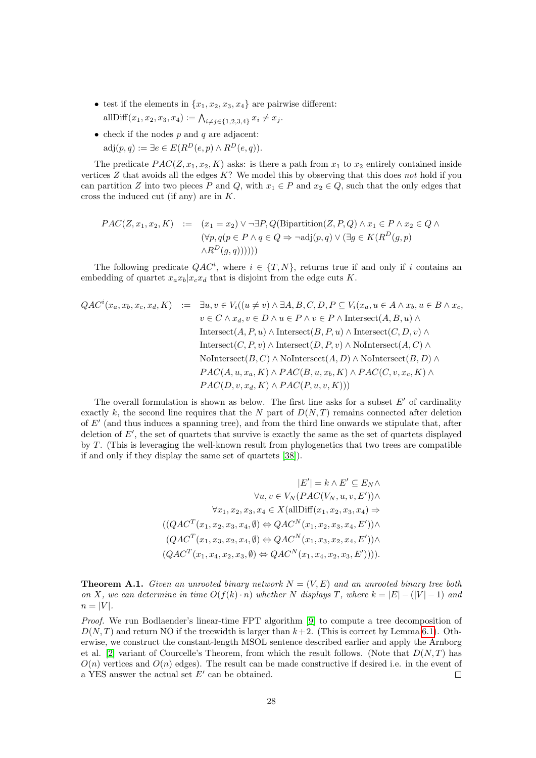- test if the elements in  $\{x_1, x_2, x_3, x_4\}$  are pairwise different: allDiff $(x_1, x_2, x_3, x_4) := \bigwedge_{i \neq j \in \{1, 2, 3, 4\}} x_i \neq x_j.$
- check if the nodes  $p$  and  $q$  are adjacent:  $adj(p,q) := \exists e \in E(R^D(e,p) \wedge R^D(e,q)).$

The predicate  $PAC(Z, x_1, x_2, K)$  asks: is there a path from  $x_1$  to  $x_2$  entirely contained inside vertices  $Z$  that avoids all the edges  $K$ ? We model this by observing that this does not hold if you can partition Z into two pieces P and Q, with  $x_1 \in P$  and  $x_2 \in Q$ , such that the only edges that cross the induced cut (if any) are in K.

$$
PAC(Z, x_1, x_2, K) := (x_1 = x_2) \lor \neg \exists P, Q(\text{Bipartition}(Z, P, Q) \land x_1 \in P \land x_2 \in Q \land
$$
  

$$
(\forall p, q(p \in P \land q \in Q \Rightarrow \neg \text{adj}(p, q) \lor (\exists g \in K(R^D(g, p) \land R^D(g, q))))))
$$

The following predicate  $QAC<sup>i</sup>$ , where  $i \in \{T, N\}$ , returns true if and only if i contains an embedding of quartet  $x_a x_b | x_c x_d$  that is disjoint from the edge cuts K.

$$
QAC^{i}(x_{a}, x_{b}, x_{c}, x_{d}, K) := \exists u, v \in V_{i}((u \neq v) \land \exists A, B, C, D, P \subseteq V_{i}(x_{a}, u \in A \land x_{b}, u \in B \land x_{c}, v \in C \land x_{d}, v \in D \land u \in P \land v \in P \land \text{Interest}(A, B, u) \land
$$
  
Interest $(A, P, u) \land \text{Interest}(B, P, u) \land \text{Interest}(C, D, v) \land$   
Interest $(C, P, v) \land \text{Interest}(D, P, v) \land \text{Nolntersect}(A, C) \land$   
Nontersect $(B, C) \land \text{NoIntersect}(A, D) \land \text{NoIntersect}(B, D) \land$   
 $PAC(A, u, x_{a}, K) \land PAC(B, u, x_{b}, K) \land PAC(C, v, x_{c}, K) \land$   
 $PAC(D, v, x_{d}, K) \land PAC(P, u, v, K)))$ 

The overall formulation is shown as below. The first line asks for a subset  $E'$  of cardinality exactly k, the second line requires that the N part of  $D(N,T)$  remains connected after deletion of  $E'$  (and thus induces a spanning tree), and from the third line onwards we stipulate that, after deletion of  $E'$ , the set of quartets that survive is exactly the same as the set of quartets displayed by T. (This is leveraging the well-known result from phylogenetics that two trees are compatible if and only if they display the same set of quartets [\[38\]](#page-25-0)).

$$
|E'| = k \wedge E' \subseteq E_N \wedge
$$
  
\n
$$
\forall u, v \in V_N(PAC(V_N, u, v, E')) \wedge
$$
  
\n
$$
\forall x_1, x_2, x_3, x_4 \in X(\text{allDiff}(x_1, x_2, x_3, x_4) \Rightarrow
$$
  
\n
$$
((QACT(x_1, x_2, x_3, x_4, \emptyset) \Leftrightarrow QACN(x_1, x_2, x_3, x_4, E')) \wedge
$$
  
\n
$$
(QACT(x_1, x_3, x_2, x_4, \emptyset) \Leftrightarrow QACN(x_1, x_3, x_2, x_4, E')) \wedge
$$
  
\n
$$
(QACT(x_1, x_4, x_2, x_3, \emptyset) \Leftrightarrow QACN(x_1, x_4, x_2, x_3, E')))).
$$

**Theorem A.1.** Given an unrooted binary network  $N = (V, E)$  and an unrooted binary tree both on X, we can determine in time  $O(f(k) \cdot n)$  whether N displays T, where  $k = |E| - (|V| - 1)$  and  $n = |V|$ .

Proof. We run Bodlaender's linear-time FPT algorithm [\[9\]](#page-23-6) to compute a tree decomposition of  $D(N, T)$  and return NO if the treewidth is larger than  $k+2$ . (This is correct by Lemma [6.1\)](#page-17-3). Otherwise, we construct the constant-length MSOL sentence described earlier and apply the Arnborg et al. [\[2\]](#page-23-4) variant of Courcelle's Theorem, from which the result follows. (Note that  $D(N,T)$  has  $O(n)$  vertices and  $O(n)$  edges). The result can be made constructive if desired i.e. in the event of a YES answer the actual set  $E'$  can be obtained.  $\Box$